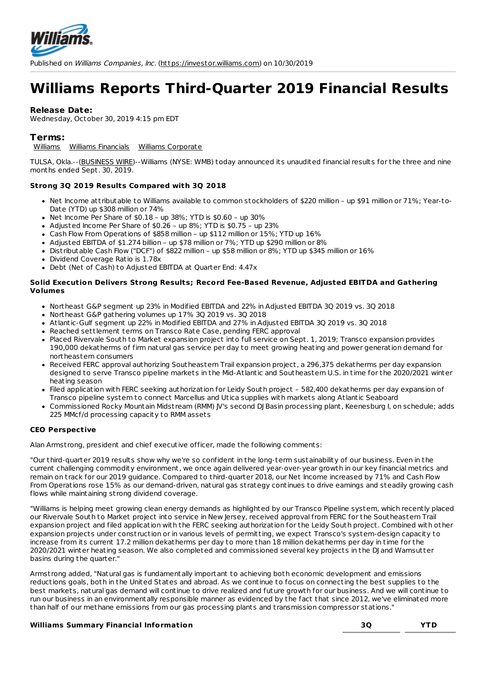

# **Williams Reports Third-Quarter 2019 Financial Results**

## **Release Date:**

Wednesday, October 30, 2019 4:15 pm EDT

## **Terms:**

[Williams](http://investor.williams.com/category/press-release-category/%255Bcatpath-raw%255D-11) Williams [Financials](http://investor.williams.com/category/press-release-category/%255Bcatpath-raw%255D-3) Williams [Corporate](http://investor.williams.com/category/press-release-category/%255Bcatpath-raw%255D-5)

TULSA, Okla.--[\(BUSINESS](http://www.businesswire.com) WIRE)--Williams (NYSE: WMB) today announced its unaudited financial results for the three and nine months ended Sept. 30, 2019.

## **Strong 3Q 2019 Results Compared with 3Q 2018**

- Net Income att ributable to Williams available to common stockholders of \$220 million up \$91 million or 71%; Year-to-Date (YTD) up \$308 million or 74%
- $\bullet$  Net Income Per Share of \$0.18 up 38%; YTD is \$0.60 up 30%
- Adjusted Income Per Share of \$0.26 up 8%; YTD is \$0.75 up 23%
- Cash Flow From Operations of \$858 million up \$112 million or 15%; YTD up 16%
- Adjusted EBITDA of \$1.274 billion up \$78 million or 7%; YTD up \$290 million or 8%
- Dist ributable Cash Flow ("DCF") of \$822 million up \$58 million or 8%; YTD up \$345 million or 16%
- Dividend Coverage Ratio is 1.78x
- Debt (Net of Cash) to Adjusted EBITDA at Quarter End: 4.47x

#### **Solid Execution Delivers Strong Results; Record Fee-Based Revenue, Adjusted EBITDA and Gathering Volumes**

- Northeast G&P segment up 23% in Modified EBITDA and 22% in Adjusted EBITDA 3Q 2019 vs. 3Q 2018
- Northeast G&P gathering volumes up 17% 3Q 2019 vs. 3Q 2018
- Atlantic-Gulf segment up 22% in Modified EBITDA and 27% in Adjusted EBITDA 3Q 2019 vs. 3Q 2018
- Reached settlement terms on Transco Rate Case, pending FERC approval
- Placed Rivervale South to Market expansion project into full service on Sept. 1, 2019; Transco expansion provides 190,000 dekatherms of firm natural gas service per day to meet growing heating and power generation demand for northeastern consumers
- Received FERC approval authorizing Southeastern Trail expansion project, a 296,375 dekatherms per day expansion designed to serve Transco pipeline markets in the Mid-Atlantic and Southeastern U.S. in time for the 2020/2021 winter heating season
- Filed application with FERC seeking authorization for Leidy South project 582,400 dekatherms per day expansion of Transco pipeline system to connect Marcellus and Utica supplies with markets along Atlantic Seaboard
- Commissioned Rocky Mountain Midst ream (RMM) JV's second DJ Basin processing plant, Keenesburg I, on schedule; adds 225 MMcf/d processing capacity to RMM assets

## **CEO Perspective**

Alan Armst rong, president and chief executive officer, made the following comments:

"Our third-quarter 2019 results show why we're so confident in the long-term sustainability of our business. Even in the current challenging commodity environment, we once again delivered year-over-year growth in our key financial met rics and remain on track for our 2019 guidance. Compared to third-quarter 2018, our Net Income increased by 71% and Cash Flow From Operations rose 15% as our demand-driven, natural gas st rategy continues to drive earnings and steadily growing cash flows while maintaining st rong dividend coverage.

"Williams is helping meet growing clean energy demands as highlighted by our Transco Pipeline system, which recently placed our Rivervale South to Market project into service in New Jersey, received approval from FERC for the Southeastern Trail expansion project and filed application with the FERC seeking authorization for the Leidy South project. Combined with other expansion projects under const ruction or in various levels of permitting, we expect Transco's system-design capacity to increase from its current 17.2 million dekatherms per day to more than 18 million dekatherms per day in time for the 2020/2021 winter heating season. We also completed and commissioned several key projects in the DJ and Wamsutter basins during the quarter."

Armst rong added, "Natural gas is fundamentally important to achieving both economic development and emissions reductions goals, both in the United States and abroad. As we continue to focus on connecting the best supplies to the best markets, natural gas demand will continue to drive realized and future growth for our business. And we will continue to run our business in an environmentally responsible manner as evidenced by the fact that since 2012, we've eliminated more than half of our methane emissions from our gas processing plants and transmission compressor stations."

## **Williams Summary Financial Information 3Q YTD**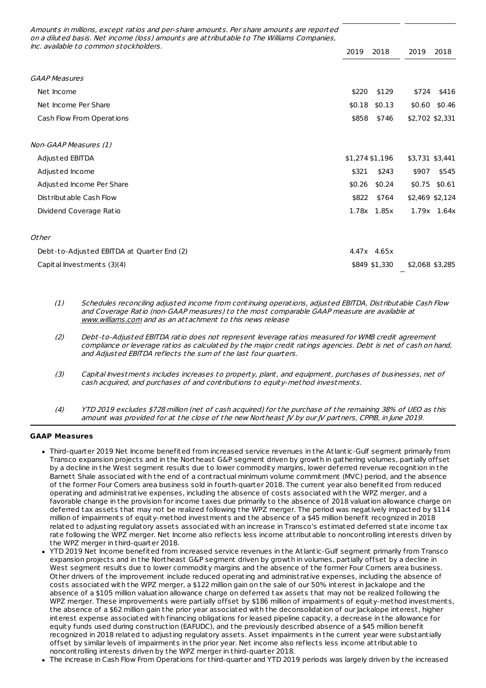Amounts in millions, except ratios and per-share amounts. Per share amounts are reported on <sup>a</sup> diluted basis. Net income (loss) amounts are att ributable to The Williams Companies, Inc. available to common stockholders.

|                                            | 2019            | 2018<br>2019     | 2018            |
|--------------------------------------------|-----------------|------------------|-----------------|
|                                            |                 |                  |                 |
| <b>GAAP Measures</b>                       |                 |                  |                 |
| Net Income                                 | \$220           | \$129<br>\$724   | \$416           |
| Net Income Per Share                       | \$0.18          | \$0.13<br>\$0.60 | \$0.46          |
| Cash Flow From Operations                  | \$858           | \$746            | \$2,702 \$2,331 |
|                                            |                 |                  |                 |
| Non-GAAP Measures (1)                      |                 |                  |                 |
| Adjusted EBITDA                            | \$1,274 \$1,196 |                  | \$3,731 \$3,441 |
| Adjusted Income                            | \$321           | \$243<br>\$907   | \$545           |
| Adjusted Income Per Share                  | \$0.26          | \$0.24           | \$0.75 \$0.61   |
| Distributable Cash Flow                    | \$822           | \$764            | \$2,469 \$2,124 |
| Dividend Coverage Ratio                    | 1.78x 1.85x     |                  | 1.79x 1.64x     |
|                                            |                 |                  |                 |
| Other                                      |                 |                  |                 |
| Debt-to-Adjusted EBITDA at Quarter End (2) | 4.47x 4.65x     |                  |                 |

Capital Investments (3)(4) \$849 \$1,330 \$2,068 \$3,285

(1) Schedules reconciling adjusted income from continuing operations, adjusted EBITDA, Dist ributable Cash Flow and Coverage Ratio (non-GAAP measures) to the most comparable GAAP measure are available at [www.williams.com](http://www.williams.com) and as an attachment to this news release

- (2) Debt-to-Adjusted EBITDA ratio does not represent leverage ratios measured for WMB credit agreement compliance or leverage ratios as calculated by the major credit ratings agencies. Debt is net of cash on hand, and Adjusted EBITDA reflects the sum of the last four quarters.
- (3) Capital Investments includes increases to property, plant, and equipment, purchases of businesses, net of cash acquired, and purchases of and cont ributions to equity-method investments.
- (4) YTD 2019 excludes \$728 million (net of cash acquired) for the purchase of the remaining 38% of UEO as this amount was provided for at the close of the new Northeast IV by our IV partners, CPPIB, in lune 2019.

## **GAAP Measures**

- Third-quarter 2019 Net Income benefited from increased service revenues in the Atlantic-Gulf segment primarily from Transco expansion projects and in the Northeast G&P segment driven by growth in gathering volumes, partially offset by a decline in the West segment results due to lower commodity margins, lower deferred revenue recognition in the Barnett Shale associated with the end of a cont ractual minimum volume commitment (MVC) period, and the absence of the former Four Corners area business sold in fourth-quarter 2018. The current year also benefited from reduced operating and administ rative expenses, including the absence of costs associated with the WPZ merger, and a favorable change in the provision for income taxes due primarily to the absence of 2018 valuation allowance charge on deferred tax assets that may not be realized following the WPZ merger. The period was negatively impacted by \$114 million of impairments of equity-method investments and the absence of a \$45 million benefit recognized in 2018 related to adjusting regulatory assets associated with an increase in Transco's estimated deferred state income tax rate following the WPZ merger. Net Income also reflects less income att ributable to noncont rolling interests driven by the WPZ merger in third-quarter 2018.
- YTD 2019 Net Income benefited from increased service revenues in the Atlantic-Gulf segment primarily from Transco expansion projects and in the Northeast G&P segment driven by growth in volumes, partially offset by a decline in West segment results due to lower commodity margins and the absence of the former Four Corners area business. Other drivers of the improvement include reduced operating and administ rative expenses, including the absence of costs associated with the WPZ merger, a \$122 million gain on the sale of our 50% interest in Jackalope and the absence of a \$105 million valuation allowance charge on deferred tax assets that may not be realized following the WPZ merger. These improvements were partially offset by \$186 million of impairments of equity-method investments, the absence of a \$62 million gain the prior year associated with the deconsolidation of our Jackalope interest, higher interest expense associated with financing obligations for leased pipeline capacity, a decrease in the allowance for equity funds used during construction (EAFUDC), and the previously described absence of a \$45 million benefit recognized in 2018 related to adjusting regulatory assets. Asset impairments in the current year were substantially offset by similar levels of impairments in the prior year. Net income also reflects less income att ributable to noncont rolling interests driven by the WPZ merger in third-quarter 2018.
- The increase in Cash Flow From Operations for third-quarter and YTD 2019 periods was largely driven by the increased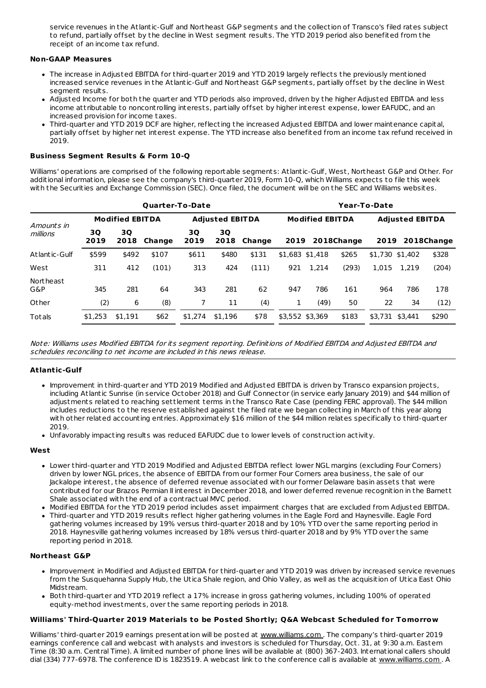service revenues in the Atlantic-Gulf and Northeast G&P segments and the collection of Transco's filed rates subject to refund, partially offset by the decline in West segment results. The YTD 2019 period also benefited from the receipt of an income tax refund.

#### **Non-GAAP Measures**

- The increase in Adjusted EBITDA for third-quarter 2019 and YTD 2019 largely reflects the previously mentioned increased service revenues in the Atlantic-Gulf and Northeast G&P segments, partially offset by the decline in West segment results.
- Adjusted Income for both the quarter and YTD periods also improved, driven by the higher Adjusted EBITDA and less income att ributable to noncont rolling interests, partially offset by higher interest expense, lower EAFUDC, and an increased provision for income taxes.
- Third-quarter and YTD 2019 DCF are higher, reflecting the increased Adjusted EBITDA and lower maintenance capital, partially offset by higher net interest expense. The YTD increase also benefited from an income tax refund received in 2019.

#### **Business Segment Results & Form 10-Q**

Williams' operations are comprised of the following reportable segments: Atlantic-Gulf, West, Northeast G&P and Other. For additional information, please see the company's third-quarter 2019, Form 10-Q, which Williams expects to file this week with the Securities and Exchange Commission (SEC). Once filed, the document will be on the SEC and Williams websites.

|                        |            |                        | <b>Quarter-To-Date</b> |            |                        | Year-To-Date |                 |                        |            |                        |         |            |  |
|------------------------|------------|------------------------|------------------------|------------|------------------------|--------------|-----------------|------------------------|------------|------------------------|---------|------------|--|
|                        |            | <b>Modified EBITDA</b> |                        |            | <b>Adiusted EBITDA</b> |              |                 | <b>Modified EBITDA</b> |            | <b>Adjusted EBITDA</b> |         |            |  |
| Amounts in<br>millions | 3Q<br>2019 | 3Q<br>2018             | Change                 | 3Q<br>2019 | 3Q<br>2018             | Change       | 2019            |                        | 2018Change | 2019                   |         | 2018Change |  |
| Atlantic-Gulf          | \$599      | \$492                  | \$107                  | \$611      | \$480                  | \$131        | \$1.683 \$1.418 |                        | \$265      | \$1,730 \$1,402        |         | \$328      |  |
| West                   | 311        | 412                    | (101)                  | 313        | 424                    | (111)        | 921             | 1.214                  | (293)      | 1.015                  | 1.219   | (204)      |  |
| Northeast<br>G&P       | 345        | 281                    | 64                     | 343        | 281                    | 62           | 947             | 786                    | 161        | 964                    | 786     | 178        |  |
| Other                  | (2)        | 6                      | (8)                    | 7          | 11                     | (4)          | 1               | (49)                   | 50         | 22                     | 34      | (12)       |  |
| Totals                 | \$1.253    | \$1,191                | \$62                   | \$1,274    | \$1.196                | \$78         | \$3,552 \$3,369 |                        | \$183      | \$3.731                | \$3.441 | \$290      |  |

Note: Williams uses Modified EBITDA for its segment reporting. Definitions of Modified EBITDA and Adjusted EBITDA and schedules reconciling to net income are included in this news release.

## **Atlantic-Gulf**

- Improvement in third-quarter and YTD 2019 Modified and Adjusted EBITDA is driven by Transco expansion projects, including Atlantic Sunrise (in service October 2018) and Gulf Connector (in service early January 2019) and \$44 million of adjustments related to reaching settlement terms in the Transco Rate Case (pending FERC approval). The \$44 million includes reductions to the reserve established against the filed rate we began collecting in March of this year along with other related accounting ent ries. Approximately \$16 million of the \$44 million relates specifically to third-quarter 2019.
- Unfavorably impacting results was reduced EAFUDC due to lower levels of construction activity.

#### **West**

- Lower third-quarter and YTD 2019 Modified and Adjusted EBITDA reflect lower NGL margins (excluding Four Corners) driven by lower NGL prices, the absence of EBITDA from our former Four Corners area business, the sale of our Jackalope interest, the absence of deferred revenue associated with our former Delaware basin assets that were cont ributed for our Brazos Permian II interest in December 2018, and lower deferred revenue recognition in the Barnett Shale associated with the end of a cont ractual MVC period.
- Modified EBITDA for the YTD 2019 period includes asset impairment charges that are excluded from Adjusted EBITDA.
- Third-quarter and YTD 2019 results reflect higher gathering volumes in the Eagle Ford and Haynesville. Eagle Ford gathering volumes increased by 19% versus third-quarter 2018 and by 10% YTD over the same reporting period in 2018. Haynesville gathering volumes increased by 18% versus third-quarter 2018 and by 9% YTD over the same reporting period in 2018.

#### **Northeast G&P**

- Improvement in Modified and Adjusted EBITDA for third-quarter and YTD 2019 was driven by increased service revenues from the Susquehanna Supply Hub, the Utica Shale region, and Ohio Valley, as well as the acquisition of Utica East Ohio Midst ream.
- Both third-quarter and YTD 2019 reflect a 17% increase in gross gathering volumes, including 100% of operated equity-method investments, over the same reporting periods in 2018.

#### **Williams' Third-Quarter 2019 Materials to be Posted Shortly; Q&A Webcast Scheduled for Tomorrow**

Williams' third-quarter 2019 earnings presentation will be posted at [www.williams.com](https://cts.businesswire.com/ct/CT?id=smartlink&url=http%253A%252F%252Fwww.williams.com&esheet=52120280&newsitemid=20191030005950&lan=en-US&anchor=www.williams.com&index=1&md5=b53762345b9b5a0e226b8da9997ef333). The company's third-quarter 2019 earnings conference call and webcast with analysts and investors is scheduled for Thursday, Oct. 31, at 9:30 a.m. Eastern Time (8:30 a.m. Cent ral Time). A limited number of phone lines will be available at (800) 367-2403. International callers should dial (334) 777-6978. The conference ID is 1823519. A webcast link to the conference call is available at [www.williams.com](https://cts.businesswire.com/ct/CT?id=smartlink&url=http%253A%252F%252Fwww.williams.com&esheet=52120280&newsitemid=20191030005950&lan=en-US&anchor=www.williams.com&index=2&md5=55d73916824738f0a285a639dc79f4ee) . A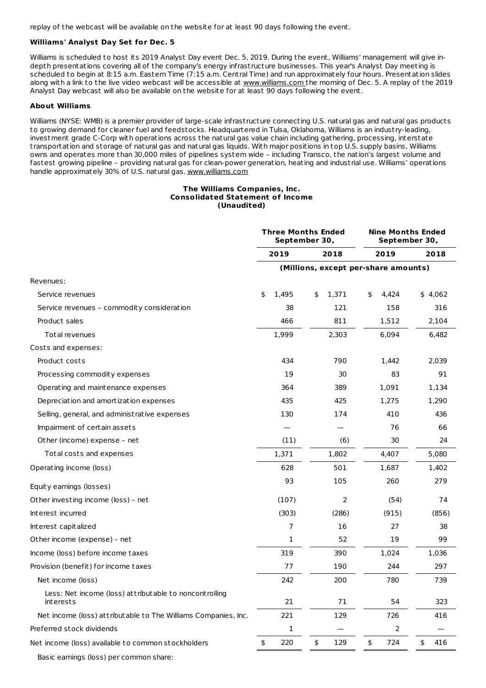replay of the webcast will be available on the website for at least 90 days following the event.

## **Williams' Analyst Day Set for Dec. 5**

Williams is scheduled to host its 2019 Analyst Day event Dec. 5, 2019. During the event, Williams' management will give indepth presentations covering all of the company's energy infrast ructure businesses. This year's Analyst Day meeting is scheduled to begin at 8:15 a.m. Eastern Time (7:15 a.m. Cent ral Time) and run approximately four hours. Presentation slides along with a link to the live video webcast will be accessible at [www.williams.com](https://cts.businesswire.com/ct/CT?id=smartlink&url=http%253A%252F%252Fwww.williams.com&esheet=52120280&newsitemid=20191030005950&lan=en-US&anchor=www.williams.com&index=3&md5=6ffe8e8e247f9547113abaac19f8b8d9) the morning of Dec. 5. A replay of the 2019 Analyst Day webcast will also be available on the website for at least 90 days following the event.

#### **About Williams**

Williams (NYSE: WMB) is a premier provider of large-scale infrast ructure connecting U.S. natural gas and natural gas products to growing demand for cleaner fuel and feedstocks. Headquartered in Tulsa, Oklahoma, Williams is an indust ry-leading, investment grade C-Corp with operations across the natural gas value chain including gathering, processing, interstate t ransportation and storage of natural gas and natural gas liquids. With major positions in top U.S. supply basins, Williams owns and operates more than 30,000 miles of pipelines system wide – including Transco, the nation's largest volume and fastest growing pipeline – providing natural gas for clean-power generation, heating and indust rial use. Williams' operations handle approximately 30% of U.S. natural gas. [www.williams.com](https://cts.businesswire.com/ct/CT?id=smartlink&url=http%253A%252F%252Fwww.williams.com&esheet=52120280&newsitemid=20191030005950&lan=en-US&anchor=www.williams.com&index=4&md5=e6dbc9fb4e69d8bca53828f342b14397)

#### **The Williams Companies, Inc. Consolidated Statement of Income (Unaudited)**

|                                                                     |             | Three Months Ended<br>September 30,  | <b>Nine Months Ended</b><br>September 30, |           |  |  |
|---------------------------------------------------------------------|-------------|--------------------------------------|-------------------------------------------|-----------|--|--|
|                                                                     | 2019        | 2018                                 | 2019                                      | 2018      |  |  |
|                                                                     |             | (Millions, except per-share amounts) |                                           |           |  |  |
| Revenues:                                                           |             |                                      |                                           |           |  |  |
| Service revenues                                                    | 1,495<br>\$ | \$<br>1,371                          | 4,424<br>\$                               | \$4,062   |  |  |
| Service revenues - commodity consideration                          | 38          | 121                                  | 158                                       | 316       |  |  |
| Product sales                                                       | 466         | 811                                  | 1,512                                     | 2,104     |  |  |
| Total revenues                                                      | 1,999       | 2,303                                | 6,094                                     | 6,482     |  |  |
| Costs and expenses:                                                 |             |                                      |                                           |           |  |  |
| Product costs                                                       | 434         | 790                                  | 1,442                                     | 2,039     |  |  |
| Processing commodity expenses                                       | 19          | 30                                   | 83                                        | 91        |  |  |
| Operating and maintenance expenses                                  | 364         | 389                                  | 1,091                                     | 1,134     |  |  |
| Depreciation and amortization expenses                              | 435         | 425                                  | 1,275                                     | 1,290     |  |  |
| Selling, general, and administrative expenses                       | 130         | 174                                  | 410                                       | 436       |  |  |
| Impairment of certain assets                                        |             |                                      | 76                                        | 66        |  |  |
| Other (income) expense - net                                        | (11)        | (6)                                  | 30                                        | 24        |  |  |
| Total costs and expenses                                            | 1,371       | 1,802                                | 4,407                                     | 5,080     |  |  |
| Operating income (loss)                                             | 628         | 501                                  | 1,687                                     | 1,402     |  |  |
| Equity earnings (losses)                                            | 93          | 105                                  | 260                                       | 279       |  |  |
| Other investing income (loss) - net                                 | (107)       | 2                                    | (54)                                      | 74        |  |  |
| Interest incurred                                                   | (303)       | (286)                                | (915)                                     | (856)     |  |  |
| Interest capitalized                                                | 7           | 16                                   | 27                                        | 38        |  |  |
| Other income (expense) - net                                        | 1           | 52                                   | 19                                        | 99        |  |  |
| Income (loss) before income taxes                                   | 319         | 390                                  | 1,024                                     | 1,036     |  |  |
| Provision (benefit) for income taxes                                | 77          | 190                                  | 244                                       | 297       |  |  |
| Net income (loss)                                                   | 242         | 200                                  | 780                                       | 739       |  |  |
| Less: Net income (loss) attributable to noncontrolling<br>interests | 21          | 71                                   | 54                                        | 323       |  |  |
| Net income (loss) attributable to The Williams Companies, Inc.      | 221         | 129                                  | 726                                       | 416       |  |  |
| Preferred stock dividends                                           | 1           |                                      | $\overline{2}$                            |           |  |  |
| Net income (loss) available to common stockholders                  | 220<br>\$   | \$<br>129                            | \$<br>724                                 | \$<br>416 |  |  |

Basic earnings (loss) per common share: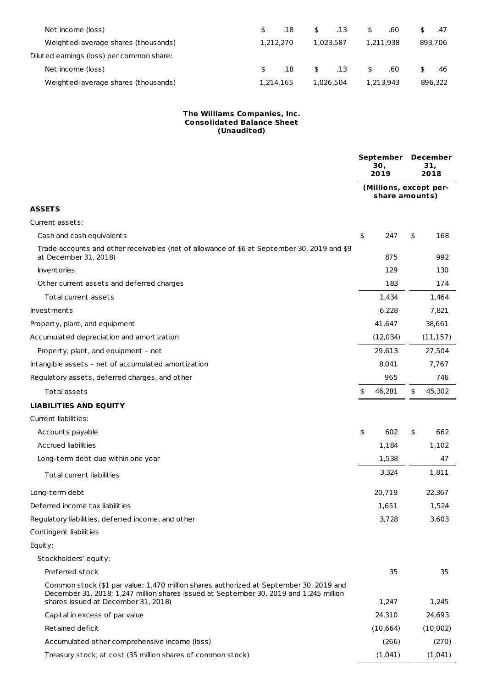| Net income (loss)                         | .18       |    | 0.13      | .60       | .47     |
|-------------------------------------------|-----------|----|-----------|-----------|---------|
| Weighted-average shares (thousands)       | 1.212.270 |    | 1.023.587 | 1.211.938 | 893.706 |
| Diluted earnings (loss) per common share: |           |    |           |           |         |
| Net income (loss)                         | .18       | s. | .13       | \$<br>.60 | .46     |
| Weighted-average shares (thousands)       | 1.214.165 |    | 1.026.504 | 1.213.943 | 896,322 |

#### **The Williams Companies, Inc. Consolidated Balance Sheet (Unaudited)**

|                                                                                                                                                                                                                         | September<br>30,<br>2019                 | December<br>31,<br>2018 |
|-------------------------------------------------------------------------------------------------------------------------------------------------------------------------------------------------------------------------|------------------------------------------|-------------------------|
|                                                                                                                                                                                                                         | (Millions, except per-<br>share amounts) |                         |
| <b>ASSETS</b>                                                                                                                                                                                                           |                                          |                         |
| Current assets:                                                                                                                                                                                                         |                                          |                         |
| Cash and cash equivalents                                                                                                                                                                                               | \$<br>247                                | \$<br>168               |
| Trade accounts and other receivables (net of allowance of \$6 at September 30, 2019 and \$9<br>at December 31, 2018)                                                                                                    | 875                                      | 992                     |
| Inventories                                                                                                                                                                                                             | 129                                      | 130                     |
| Other current assets and deferred charges                                                                                                                                                                               | 183                                      | 174                     |
| Total current assets                                                                                                                                                                                                    | 1,434                                    | 1,464                   |
| <b>Investments</b>                                                                                                                                                                                                      | 6,228                                    | 7,821                   |
| Property, plant, and equipment                                                                                                                                                                                          | 41,647                                   | 38,661                  |
| Accumulated depreciation and amortization                                                                                                                                                                               | (12, 034)                                | (11, 157)               |
| Property, plant, and equipment - net                                                                                                                                                                                    | 29,613                                   | 27,504                  |
| Intangible assets - net of accumulated amortization                                                                                                                                                                     | 8,041                                    | 7,767                   |
| Regulatory assets, deferred charges, and other                                                                                                                                                                          | 965                                      | 746                     |
| Total assets                                                                                                                                                                                                            | \$<br>46,281                             | \$<br>45,302            |
| <b>LIABILITIES AND EQUITY</b>                                                                                                                                                                                           |                                          |                         |
| Current liabilities:                                                                                                                                                                                                    |                                          |                         |
| Accounts payable                                                                                                                                                                                                        | \$<br>602                                | \$<br>662               |
| Accrued liabilities                                                                                                                                                                                                     | 1,184                                    | 1,102                   |
| Long-term debt due within one year                                                                                                                                                                                      | 1,538                                    | 47                      |
| Total current liabilities                                                                                                                                                                                               | 3,324                                    | 1,811                   |
| Long-term debt                                                                                                                                                                                                          | 20,719                                   | 22,367                  |
| Deferred income tax liabilities                                                                                                                                                                                         | 1,651                                    | 1,524                   |
| Regulatory liabilities, deferred income, and other                                                                                                                                                                      | 3,728                                    | 3,603                   |
| Contingent liabilities                                                                                                                                                                                                  |                                          |                         |
| Equity:                                                                                                                                                                                                                 |                                          |                         |
| Stockholders' equity:                                                                                                                                                                                                   |                                          |                         |
| Preferred stock                                                                                                                                                                                                         | 35                                       | 35                      |
| Common stock (\$1 par value; 1,470 million shares authorized at September 30, 2019 and<br>December 31, 2018; 1,247 million shares issued at September 30, 2019 and 1,245 million<br>shares issued at December 31, 2018) | 1,247                                    | 1,245                   |
| Capital in excess of par value                                                                                                                                                                                          | 24,310                                   | 24,693                  |
| Retained deficit                                                                                                                                                                                                        | (10, 664)                                | (10,002)                |
| Accumulated other comprehensive income (loss)                                                                                                                                                                           | (266)                                    | (270)                   |
| Treasury stock, at cost (35 million shares of common stock)                                                                                                                                                             | (1,041)                                  | (1,041)                 |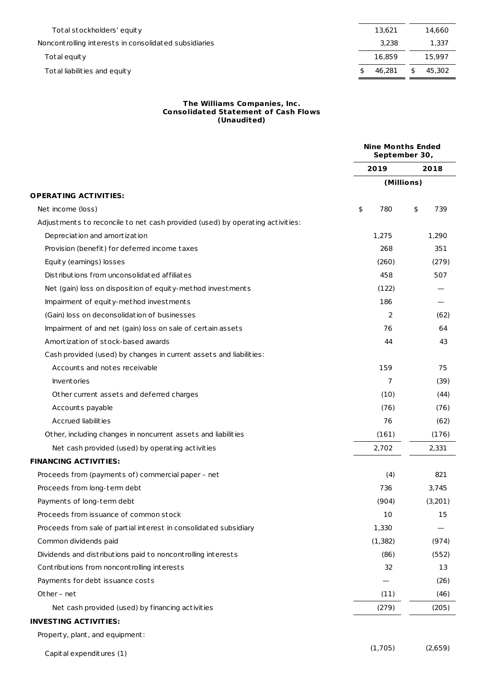| Total stockholders' equity                            | 13.621 | 14.660 |
|-------------------------------------------------------|--------|--------|
| Noncontrolling interests in consolidated subsidiaries | 3.238  | 1,337  |
| Total equity                                          | 16.859 | 15.997 |
| Total liabilities and equity                          | 46.281 | 45.302 |
|                                                       |        |        |

#### **The Williams Companies, Inc. Consolidated Statement of Cash Flows (Unaudited)**

|                                                                               | <b>Nine Months Ended</b><br>September 30, |           |
|-------------------------------------------------------------------------------|-------------------------------------------|-----------|
|                                                                               | 2019                                      | 2018      |
|                                                                               | (Millions)                                |           |
| <b>OPERATING ACTIVITIES:</b>                                                  |                                           |           |
| Net income (loss)                                                             | \$<br>780                                 | \$<br>739 |
| Adjustments to reconcile to net cash provided (used) by operating activities: |                                           |           |
| Depreciation and amortization                                                 | 1,275                                     | 1,290     |
| Provision (benefit) for deferred income taxes                                 | 268                                       | 351       |
| Equity (earnings) losses                                                      | (260)                                     | (279)     |
| Distributions from unconsolidated affiliates                                  | 458                                       | 507       |
| Net (gain) loss on disposition of equity-method investments                   | (122)                                     |           |
| Impairment of equity-method investments                                       | 186                                       |           |
| (Gain) loss on deconsolidation of businesses                                  | 2                                         | (62)      |
| Impairment of and net (gain) loss on sale of certain assets                   | 76                                        | 64        |
| Amortization of stock-based awards                                            | 44                                        | 43        |
| Cash provided (used) by changes in current assets and liabilities:            |                                           |           |
| Accounts and notes receivable                                                 | 159                                       | 75        |
| <b>Inventories</b>                                                            | 7                                         | (39)      |
| Other current assets and deferred charges                                     | (10)                                      | (44)      |
| Accounts payable                                                              | (76)                                      | (76)      |
| Accrued liabilities                                                           | 76                                        | (62)      |
| Other, including changes in noncurrent assets and liabilities                 | (161)                                     | (176)     |
| Net cash provided (used) by operating activities                              | 2,702                                     | 2,331     |
| <b>FINANCING ACTIVITIES:</b>                                                  |                                           |           |
| Proceeds from (payments of) commercial paper - net                            | (4)                                       | 821       |
| Proceeds from long-term debt                                                  | 736                                       | 3,745     |
| Payments of long-term debt                                                    | (904)                                     | (3,201)   |
| Proceeds from issuance of common stock                                        | 10                                        | 15        |
| Proceeds from sale of partial interest in consolidated subsidiary             | 1,330                                     |           |
| Common dividends paid                                                         | (1, 382)                                  | (974)     |
| Dividends and distributions paid to noncontrolling interests                  | (86)                                      | (552)     |
| Contributions from noncontrolling interests                                   | 32                                        | 13        |
| Payments for debt issuance costs                                              |                                           | (26)      |
| Other - net                                                                   | (11)                                      | (46)      |
| Net cash provided (used) by financing activities                              | (279)                                     | (205)     |
| <b>INVESTING ACTIVITIES:</b>                                                  |                                           |           |
|                                                                               |                                           |           |

Property, plant, and equipment:

Capital expenditures (1)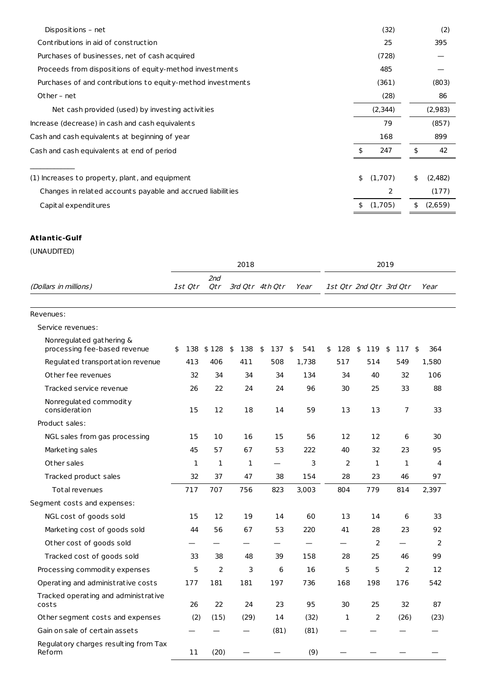| Dispositions - net                                          | (32)          | (2)           |
|-------------------------------------------------------------|---------------|---------------|
| Contributions in aid of construction                        | 25            | 395           |
| Purchases of businesses, net of cash acquired               | (728)         |               |
| Proceeds from dispositions of equity-method investments     | 485           |               |
| Purchases of and contributions to equity-method investments | (361)         | (803)         |
| Other - net                                                 | (28)          | 86            |
| Net cash provided (used) by investing activities            | (2,344)       | (2,983)       |
| Increase (decrease) in cash and cash equivalents            | 79            | (857)         |
| Cash and cash equivalents at beginning of year              | 168           | 899           |
| Cash and cash equivalents at end of period                  | \$<br>247     | \$<br>42      |
| (1) Increases to property, plant, and equipment             | \$<br>(1,707) | \$<br>(2,482) |
| Changes in related accounts payable and accrued liabilities | 2             | (177)         |
| Capit al expenditures                                       | \$<br>(1,705) | \$<br>(2,659) |

## **Atlantic-Gulf**

|                                                          |           |                | 2018      |                 | 2019      |           |           |                         |           |  |  |
|----------------------------------------------------------|-----------|----------------|-----------|-----------------|-----------|-----------|-----------|-------------------------|-----------|--|--|
| (Dollars in millions)                                    | 1st Otr   | 2nd<br>Otr     |           | 3rd Otr 4th Otr | Year      |           |           | 1st Otr 2nd Otr 3rd Otr | Year      |  |  |
| Revenues:                                                |           |                |           |                 |           |           |           |                         |           |  |  |
| Service revenues:                                        |           |                |           |                 |           |           |           |                         |           |  |  |
| Nonregulated gathering &<br>processing fee-based revenue | 138<br>\$ | \$128          | 138<br>\$ | 137<br>\$       | 541<br>\$ | 128<br>\$ | 119<br>\$ | \$<br>117               | 364<br>\$ |  |  |
| Regulated transportation revenue                         | 413       | 406            | 411       | 508             | 1.738     | 517       | 514       | 549                     | 1.580     |  |  |
| Other fee revenues                                       | 32        | 34             | 34        | 34              | 134       | 34        | 40        | 32                      | 106       |  |  |
| Tracked service revenue                                  | 26        | 22             | 24        | 24              | 96        | 30        | 25        | 33                      | 88        |  |  |
| Nonregulated commodity<br>consideration                  | 15        | 12             | 18        | 14              | 59        | 13        | 13        | $\overline{7}$          | 33        |  |  |
| Product sales:                                           |           |                |           |                 |           |           |           |                         |           |  |  |
| NGL sales from gas processing                            | 15        | 10             | 16        | 15              | 56        | 12        | 12        | 6                       | 30        |  |  |
| Marketing sales                                          | 45        | 57             | 67        | 53              | 222       | 40        | 32        | 23                      | 95        |  |  |
| Other sales                                              | 1         | 1              | 1         |                 | 3         | 2         | 1         | 1                       | 4         |  |  |
| Tracked product sales                                    | 32        | 37             | 47        | 38              | 154       | 28        | 23        | 46                      | 97        |  |  |
| Total revenues                                           | 717       | 707            | 756       | 823             | 3,003     | 804       | 779       | 814                     | 2,397     |  |  |
| Segment costs and expenses:                              |           |                |           |                 |           |           |           |                         |           |  |  |
| NGL cost of goods sold                                   | 15        | 12             | 19        | 14              | 60        | 13        | 14        | 6                       | 33        |  |  |
| Marketing cost of goods sold                             | 44        | 56             | 67        | 53              | 220       | 41        | 28        | 23                      | 92        |  |  |
| Other cost of goods sold                                 |           |                |           |                 |           |           | 2         |                         | 2         |  |  |
| Tracked cost of goods sold                               | 33        | 38             | 48        | 39              | 158       | 28        | 25        | 46                      | 99        |  |  |
| Processing commodity expenses                            | 5         | $\overline{2}$ | 3         | 6               | 16        | 5         | 5         | $\overline{2}$          | 12        |  |  |
| Operating and administrative costs                       | 177       | 181            | 181       | 197             | 736       | 168       | 198       | 176                     | 542       |  |  |
| Tracked operating and administrative<br>costs            | 26        | 22             | 24        | 23              | 95        | 30        | 25        | 32                      | 87        |  |  |
| Other segment costs and expenses                         | (2)       | (15)           | (29)      | 14              | (32)      | 1         | 2         | (26)                    | (23)      |  |  |
| Gain on sale of certain assets                           |           |                |           | (81)            | (81)      |           |           |                         |           |  |  |
| Regulatory charges resulting from Tax<br>Reform          | 11        | (20)           |           |                 | (9)       |           |           |                         |           |  |  |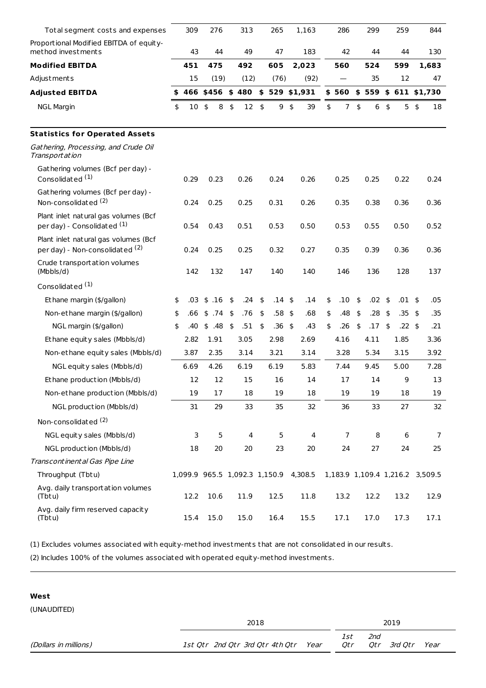| Total segment costs and expenses                                        | 309       | 276                           |               | 313  | 265       |               | 1,163          | 286                  | 299       |               | 259                    | 844                             |
|-------------------------------------------------------------------------|-----------|-------------------------------|---------------|------|-----------|---------------|----------------|----------------------|-----------|---------------|------------------------|---------------------------------|
| Proportional Modified EBITDA of equity-<br>method investments           | 43        | 44                            |               | 49   | 47        |               | 183            | 42                   | 44        |               | 44                     | 130                             |
| <b>Modified EBITDA</b>                                                  | 451       | 475                           |               | 492  | 605       |               | 2,023          | 560                  | 524       |               | 599                    | 1,683                           |
| Adjustments                                                             | 15        | (19)                          |               | (12) | (76)      |               | (92)           |                      | 35        |               | 12                     | 47                              |
| <b>Adjusted EBITDA</b>                                                  | \$<br>466 | $$456$ \$ 480                 |               |      |           |               | $$529$ \$1,931 | \$560                |           |               | $$559$ $$611$ $$1,730$ |                                 |
| <b>NGL Margin</b>                                                       | \$<br>10  | 8<br>\$                       | \$            | 12   | \$<br>9   | \$            | 39             | \$<br>$\overline{7}$ | \$<br>6   | \$            | 5                      | \$<br>18                        |
| <b>Statistics for Operated Assets</b>                                   |           |                               |               |      |           |               |                |                      |           |               |                        |                                 |
| Gathering, Processing, and Crude Oil<br>Transportation                  |           |                               |               |      |           |               |                |                      |           |               |                        |                                 |
| Gathering volumes (Bcf per day) -<br>Consolidated <sup>(1)</sup>        | 0.29      | 0.23                          |               | 0.26 | 0.24      |               | 0.26           | 0.25                 | 0.25      |               | 0.22                   | 0.24                            |
| Gathering volumes (Bcf per day) -<br>Non-consolidated <sup>(2)</sup>    | 0.24      | 0.25                          |               | 0.25 | 0.31      |               | 0.26           | 0.35                 | 0.38      |               | 0.36                   | 0.36                            |
| Plant inlet natural gas volumes (Bcf<br>per day) - Consolidated (1)     | 0.54      | 0.43                          |               | 0.51 | 0.53      |               | 0.50           | 0.53                 | 0.55      |               | 0.50                   | 0.52                            |
| Plant inlet natural gas volumes (Bcf<br>per day) - Non-consolidated (2) | 0.24      | 0.25                          |               | 0.25 | 0.32      |               | 0.27           | 0.35                 | 0.39      |               | 0.36                   | 0.36                            |
| Crude transportation volumes<br>(Mbbbls/d)                              | 142       | 132                           |               | 147  | 140       |               | 140            | 146                  | 136       |               | 128                    | 137                             |
| Consolidated <sup>(1)</sup>                                             |           |                               |               |      |           |               |                |                      |           |               |                        |                                 |
| Ethane margin (\$/gallon)                                               | \$<br>.03 | .16<br>\$                     | \$            | .24  | \$<br>.14 | \$            | .14            | \$<br>.10            | \$<br>.02 | -\$           | $.01$ \$               | .05                             |
| Non-ethane margin (\$/gallon)                                           | \$<br>.66 | .74<br>\$                     | \$            | .76  | \$<br>.58 | \$            | .68            | \$<br>.48            | \$<br>.28 | -\$           | .35                    | \$<br>.35                       |
| NGL margin (\$/gallon)                                                  | \$<br>.40 | .48<br>\$                     | $\frac{1}{2}$ | .51  | \$<br>.36 | $\frac{4}{5}$ | .43            | \$<br>.26            | \$<br>.17 | $\frac{1}{2}$ | $.22 \;$ \$            | .21                             |
| Ethane equity sales (Mbbls/d)                                           | 2.82      | 1.91                          |               | 3.05 | 2.98      |               | 2.69           | 4.16                 | 4.11      |               | 1.85                   | 3.36                            |
| Non-ethane equity sales (Mbbls/d)                                       | 3.87      | 2.35                          |               | 3.14 | 3.21      |               | 3.14           | 3.28                 | 5.34      |               | 3.15                   | 3.92                            |
| NGL equity sales (Mbbls/d)                                              | 6.69      | 4.26                          |               | 6.19 | 6.19      |               | 5.83           | 7.44                 | 9.45      |               | 5.00                   | 7.28                            |
| Ethane production (Mbbls/d)                                             | 12        | 12                            |               | 15   | 16        |               | 14             | 17                   | 14        |               | 9                      | 13                              |
| Non-ethane production (Mbbls/d)                                         | 19        | 17                            |               | 18   | 19        |               | 18             | 19                   | 19        |               | 18                     | 19                              |
| NGL production (Mbbls/d)                                                | 31        | 29                            |               | 33   | 35        |               | 32             | 36                   | 33        |               | 27                     | 32                              |
| Non-consolidated <sup>(2)</sup>                                         |           |                               |               |      |           |               |                |                      |           |               |                        |                                 |
| NGL equity sales (Mbbls/d)                                              | 3         | 5                             |               | 4    | 5         |               | 4              | $\overline{7}$       | 8         |               | 6                      | $\overline{7}$                  |
| NGL production (Mbbls/d)                                                | 18        | 20                            |               | 20   | 23        |               | 20             | 24                   | 27        |               | 24                     | 25                              |
| Transcontinental Gas Pipe Line                                          |           |                               |               |      |           |               |                |                      |           |               |                        |                                 |
| Throughput (Tbtu)                                                       |           | 1,099.9 965.5 1,092.3 1,150.9 |               |      |           |               | 4,308.5        |                      |           |               |                        | 1,183.9 1,109.4 1,216.2 3,509.5 |
| Avg. daily transportation volumes<br>(Tbtu)                             | 12.2      | 10.6                          |               | 11.9 | 12.5      |               | 11.8           | 13.2                 | 12.2      |               | 13.2                   | 12.9                            |
| Avg. daily firm reserved capacity<br>(Tbtu)                             | 15.4      | 15.0                          |               | 15.0 | 16.4      |               | 15.5           | 17.1                 | 17.0      |               | 17.3                   | 17.1                            |

(1) Excludes volumes associated with equity-method investments that are not consolidated in our results.

(2) Includes 100% of the volumes associated with operated equity-method investments.

## **West**

|                       | 2018                            | 2019 |            |                               |  |  |  |
|-----------------------|---------------------------------|------|------------|-------------------------------|--|--|--|
| (Dollars in millions) | 1st Qtr 2nd Qtr 3rd Qtr 4th Qtr | Year | lst<br>Otr | 2nd<br>3rd Qtr<br>Year<br>Otr |  |  |  |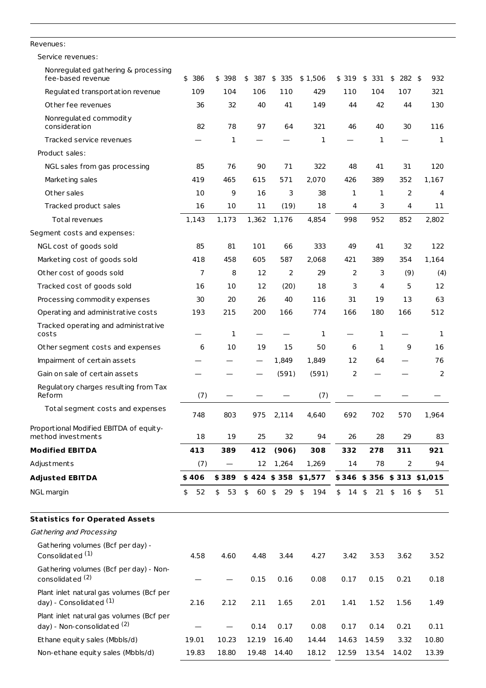| Revenues:                                                               |           |                                |           |           |                        |                  |           |                       |                           |
|-------------------------------------------------------------------------|-----------|--------------------------------|-----------|-----------|------------------------|------------------|-----------|-----------------------|---------------------------|
| Service revenues:                                                       |           |                                |           |           |                        |                  |           |                       |                           |
| Nonregulated gathering & processing<br>fee-based revenue                | 386<br>\$ | \$<br>398                      | 387<br>\$ | \$<br>335 | \$1,506                | \$319            | \$<br>331 | \$<br>$282 \;$ \$     | 932                       |
| Regulated transportation revenue                                        | 109       | 104                            | 106       | 110       | 429                    | 110              | 104       | 107                   | 321                       |
| Other fee revenues                                                      | 36        | 32                             | 40        | 41        | 149                    | 44               | 42        | 44                    | 130                       |
| Nonregulated commodity<br>consideration                                 | 82        | 78                             | 97        | 64        | 321                    | 46               | 40        | 30                    | 116                       |
| Tracked service revenues                                                |           | 1                              |           |           | 1                      |                  | 1         |                       | 1                         |
| Product sales:                                                          |           |                                |           |           |                        |                  |           |                       |                           |
| NGL sales from gas processing                                           | 85        | 76                             | 90        | 71        | 322                    | 48               | 41        | 31                    | 120                       |
| Marketing sales                                                         | 419       | 465                            | 615       | 571       | 2,070                  | 426              | 389       | 352                   | 1,167                     |
| Other sales                                                             | 10        | 9                              | 16        | 3         | 38                     | $\mathbf{1}$     | 1         | 2                     | 4                         |
| Tracked product sales                                                   | 16        | 10                             | 11        | (19)      | 18                     | 4                | 3         | 4                     | 11                        |
| Total revenues                                                          | 1,143     | 1,173                          | 1,362     | 1,176     | 4,854                  | 998              | 952       | 852                   | 2,802                     |
| Segment costs and expenses:                                             |           |                                |           |           |                        |                  |           |                       |                           |
| NGL cost of goods sold                                                  | 85        | 81                             | 101       | 66        | 333                    | 49               | 41        | 32                    | 122                       |
| Marketing cost of goods sold                                            | 418       | 458                            | 605       | 587       | 2,068                  | 421              | 389       | 354                   | 1,164                     |
| Other cost of goods sold                                                | 7         | 8                              | 12        | 2         | 29                     | 2                | 3         | (9)                   | (4)                       |
| Tracked cost of goods sold                                              | 16        | 10                             | 12        | (20)      | 18                     | 3                | 4         | 5                     | 12                        |
| Processing commodity expenses                                           | 30        | 20                             | 26        | 40        | 116                    | 31               | 19        | 13                    | 63                        |
| Operating and administrative costs                                      | 193       | 215                            | 200       | 166       | 774                    | 166              | 180       | 166                   | 512                       |
| Tracked operating and administrative<br>costs                           |           | $\mathbf{1}$                   |           |           | $\mathbf{1}$           |                  | 1         |                       | 1                         |
| Other segment costs and expenses                                        | 6         | 10                             | 19        | 15        | 50                     | 6                | 1         | 9                     | 16                        |
| Impairment of certain assets                                            |           |                                |           | 1,849     | 1,849                  | 12               | 64        |                       | 76                        |
| Gain on sale of certain assets                                          |           |                                |           | (591)     | (591)                  | 2                |           |                       | 2                         |
| Regulatory charges resulting from Tax<br>Reform                         | (7)       |                                |           |           | (7)                    |                  |           |                       |                           |
| Total segment costs and expenses                                        | 748       | 803                            | 975       | 2,114     | 4,640                  | 692              | 702       | 570                   | 1,964                     |
| Proportional Modified EBITDA of equity-<br>method investments           | 18        | 19                             | 25        | 32        | 94                     | 26               | 28        | 29                    | 83                        |
| <b>Modified EBITDA</b>                                                  | 413       | 389                            | 412       | (906)     | 308                    | 332              | 278       | 311                   | 921                       |
| Adjustments                                                             | (7)       | $\overline{\phantom{m}}$       | 12        | 1,264     | 1,269                  | 14               | 78        | 2                     | 94                        |
| <b>Adjusted EBITDA</b>                                                  | \$406     | \$389                          |           |           | $$424$ $$358$ $$1,577$ |                  |           |                       | \$346 \$356 \$313 \$1,015 |
| NGL margin                                                              | 52<br>\$  | \$<br>53                       | 60<br>\$  | \$<br>29  | \$<br>194              | \$<br>$14 \;$ \$ | 21        | \$<br>16 <sup>5</sup> | 51                        |
| <b>Statistics for Operated Assets</b>                                   |           |                                |           |           |                        |                  |           |                       |                           |
| Gathering and Processing                                                |           |                                |           |           |                        |                  |           |                       |                           |
| Gathering volumes (Bcf per day) -<br>Consolidated <sup>(1)</sup>        | 4.58      | 4.60                           | 4.48      | 3.44      | 4.27                   | 3.42             | 3.53      | 3.62                  | 3.52                      |
| Gathering volumes (Bcf per day) - Non-<br>consolidated <sup>(2)</sup>   |           | $\qquad \qquad \longleftarrow$ | 0.15      | 0.16      | 0.08                   | 0.17             | 0.15      | 0.21                  | 0.18                      |
| Plant inlet natural gas volumes (Bcf per<br>day) - Consolidated (1)     | 2.16      | 2.12                           | 2.11      | 1.65      | 2.01                   | 1.41             | 1.52      | 1.56                  | 1.49                      |
| Plant inlet natural gas volumes (Bcf per<br>day) - Non-consolidated (2) |           |                                | 0.14      | 0.17      | 0.08                   | 0.17             | 0.14      | 0.21                  | 0.11                      |
| Ethane equity sales (Mbbls/d)                                           | 19.01     | 10.23                          | 12.19     | 16.40     | 14.44                  | 14.63            | 14.59     | 3.32                  | 10.80                     |
| Non-ethane equity sales (Mbbls/d)                                       | 19.83     | 18.80                          | 19.48     | 14.40     | 18.12                  | 12.59            | 13.54     | 14.02                 | 13.39                     |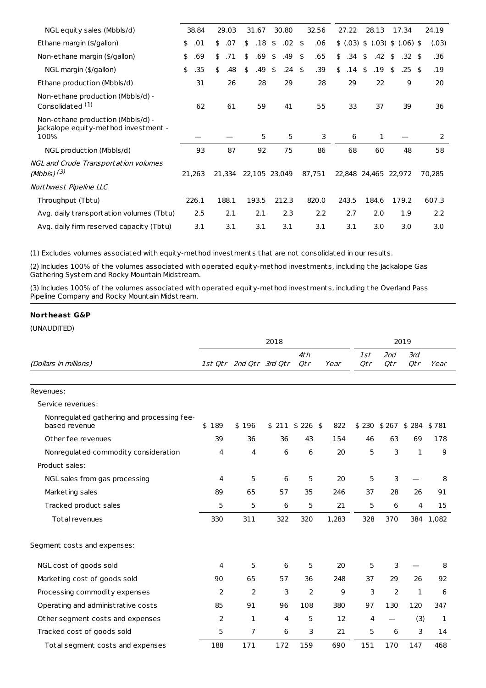| NGL equity sales (Mbbls/d)                                                        | 38.84     | 29.03     | 31.67     | 30.80         | 32.56                     | 27.22     | 28.13                | 17.34                      | 24.19  |
|-----------------------------------------------------------------------------------|-----------|-----------|-----------|---------------|---------------------------|-----------|----------------------|----------------------------|--------|
| Ethane margin (\$/gallon)                                                         | .01<br>\$ | .07<br>\$ | .18<br>\$ | .02<br>\$     | .06<br>-\$                |           |                      | \$(.03) \$(.03) \$.(06) \$ | (.03)  |
| Non-ethane margin (\$/gallon)                                                     | \$<br>.69 | .71<br>\$ | .69<br>\$ | \$<br>.49     | .65<br>$\mathbf{\hat{S}}$ | .34<br>\$ | .42<br>\$            | \$<br>$.32 \;$ \$          | .36    |
| NGL margin (\$/gallon)                                                            | \$<br>.35 | .48<br>\$ | .49<br>\$ | .24<br>\$     | .39<br>-\$                | \$<br>.14 | .19<br>\$            | $.25$ \$<br>\$             | .19    |
| Ethane production (Mbbls/d)                                                       | 31        | 26        | 28        | 29            | 28                        | 29        | 22                   | 9                          | 20     |
| Non-ethane production (Mbbls/d) -<br>Consolidated <sup>(1)</sup>                  | 62        | 61        | 59        | 41            | 55                        | 33        | 37                   | 39                         | 36     |
| Non-ethane production (Mbbls/d) -<br>Jackalope equity-method investment -<br>100% |           |           | 5         | 5             | 3                         | 6         | 1                    |                            | 2      |
| NGL production (Mbbls/d)                                                          | 93        | 87        | 92        | 75            | 86                        | 68        | 60                   | 48                         | 58     |
| <b>NGL</b> and Crude Transportation volumes<br>(Mbbls) $(3)$                      | 21,263    | 21,334    |           | 22,105 23,049 | 87,751                    |           | 22,848 24,465 22,972 |                            | 70,285 |
| Northwest Pipeline LLC                                                            |           |           |           |               |                           |           |                      |                            |        |
| Throughput (Tbtu)                                                                 | 226.1     | 188.1     | 193.5     | 212.3         | 820.0                     | 243.5     | 184.6                | 179.2                      | 607.3  |
| Avg. daily transportation volumes (Tbtu)                                          |           |           |           |               |                           |           |                      |                            |        |
|                                                                                   | 2.5       | 2.1       | 2.1       | 2.3           | 2.2                       | 2.7       | 2.0                  | 1.9                        | 2.2    |

(1) Excludes volumes associated with equity-method investments that are not consolidated in our results.

(2) Includes 100% of the volumes associated with operated equity-method investments, including the Jackalope Gas Gathering System and Rocky Mountain Midst ream.

(3) Includes 100% of the volumes associated with operated equity-method investments, including the Overland Pass Pipeline Company and Rocky Mountain Midst ream.

## **Northeast G&P**

| (UNAUDITED) |  |
|-------------|--|
|-------------|--|

|                                                             |       |                         | 2018             |                | 2019  |                   |            |               |       |  |  |
|-------------------------------------------------------------|-------|-------------------------|------------------|----------------|-------|-------------------|------------|---------------|-------|--|--|
| (Dollars in millions)                                       |       | 1st Qtr 2nd Qtr 3rd Qtr |                  | 4th<br>Qtr     | Year  | <i>1st</i><br>Qtr | 2nd<br>Otr | 3rd<br>Qtr    | Year  |  |  |
| Revenues:                                                   |       |                         |                  |                |       |                   |            |               |       |  |  |
| Service revenues:                                           |       |                         |                  |                |       |                   |            |               |       |  |  |
| Nonregulated gathering and processing fee-<br>based revenue | \$189 | \$196                   | $$211$ \$ 226 \$ |                | 822   | \$230             | \$ 267     | $$284$ $$781$ |       |  |  |
| Other fee revenues                                          | 39    | 36                      | 36               | 43             | 154   | 46                | 63         | 69            | 178   |  |  |
| Nonregulated commodity consideration                        | 4     | 4                       | 6                | 6              | 20    | 5                 | 3          | 1             | 9     |  |  |
| Product sales:                                              |       |                         |                  |                |       |                   |            |               |       |  |  |
| NGL sales from gas processing                               | 4     | 5                       | 6                | 5              | 20    | 5                 | 3          |               | 8     |  |  |
| Marketing sales                                             | 89    | 65                      | 57               | 35             | 246   | 37                | 28         | 26            | 91    |  |  |
| Tracked product sales                                       | 5     | 5                       | 6                | 5              | 21    | 5                 | 6          | 4             | 15    |  |  |
| Total revenues                                              | 330   | 311                     | 322              | 320            | 1,283 | 328               | 370        | 384           | 1,082 |  |  |
| Segment costs and expenses:                                 |       |                         |                  |                |       |                   |            |               |       |  |  |
| NGL cost of goods sold                                      | 4     | 5                       | 6                | 5              | 20    | 5                 | 3          |               | 8     |  |  |
| Marketing cost of goods sold                                | 90    | 65                      | 57               | 36             | 248   | 37                | 29         | 26            | 92    |  |  |
| Processing commodity expenses                               | 2     | 2                       | 3                | $\overline{2}$ | 9     | 3                 | 2          | 1             | 6     |  |  |
| Operating and administrative costs                          | 85    | 91                      | 96               | 108            | 380   | 97                | 130        | 120           | 347   |  |  |
| Other segment costs and expenses                            | 2     | 1                       | 4                | 5              | 12    | 4                 |            | (3)           | 1     |  |  |
| Tracked cost of goods sold                                  | 5     | 7                       | 6                | 3              | 21    | 5                 | 6          | 3             | 14    |  |  |
| Total segment costs and expenses                            | 188   | 171                     | 172              | 159            | 690   | 151               | 170        | 147           | 468   |  |  |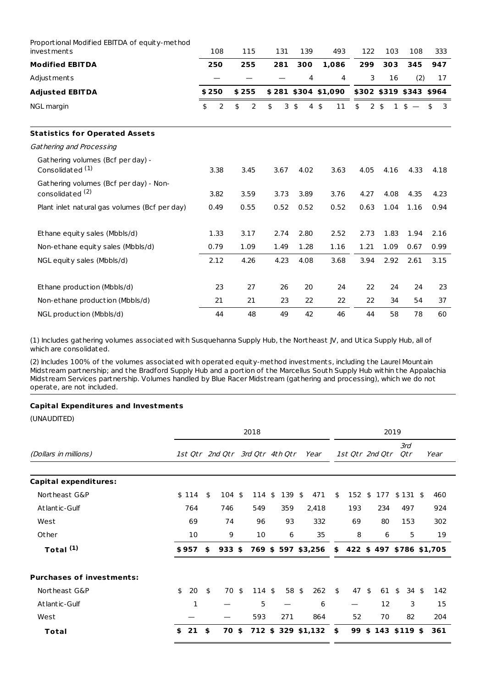| Proportional Modified EBITDA of equity-method<br><i>investments</i>   | 108                  | 115     | 131  | 139                              | 493                  | 122  | 103                            | 108   | 333     |
|-----------------------------------------------------------------------|----------------------|---------|------|----------------------------------|----------------------|------|--------------------------------|-------|---------|
| <b>Modified EBITDA</b>                                                | 250                  | 255     | 281  | 300                              | 1.086                | 299  | 303                            | 345   | 947     |
| Adjust ments                                                          |                      |         |      | 4                                | 4                    | 3    | 16                             | (2)   | 17      |
| <b>Adjusted EBITDA</b>                                                | \$250                | \$255   |      |                                  | $$281$ \$304 \$1,090 |      | \$302 \$319 \$343 \$964        |       |         |
| <b>NGL</b> margin                                                     | $\overline{2}$<br>\$ | \$<br>2 | \$   | 3 <sup>5</sup><br>$\overline{4}$ | \$<br>11             | \$   | 2 <sub>5</sub><br>$\mathbf{1}$ | $s -$ | \$<br>3 |
| <b>Statistics for Operated Assets</b>                                 |                      |         |      |                                  |                      |      |                                |       |         |
| Gathering and Processing                                              |                      |         |      |                                  |                      |      |                                |       |         |
| Gathering volumes (Bcf per day) -<br>Consolidated (1)                 | 3.38                 | 3.45    | 3.67 | 4.02                             | 3.63                 | 4.05 | 4.16                           | 4.33  | 4.18    |
| Gathering volumes (Bcf per day) - Non-<br>consolidated <sup>(2)</sup> | 3.82                 | 3.59    | 3.73 | 3.89                             | 3.76                 | 4.27 | 4.08                           | 4.35  | 4.23    |
| Plant inlet natural gas volumes (Bcf per day)                         | 0.49                 | 0.55    | 0.52 | 0.52                             | 0.52                 | 0.63 | 1.04                           | 1.16  | 0.94    |
| Ethane equity sales (Mbbls/d)                                         | 1.33                 | 3.17    | 2.74 | 2.80                             | 2.52                 | 2.73 | 1.83                           | 1.94  | 2.16    |
| Non-ethane equity sales (Mbbls/d)                                     | 0.79                 | 1.09    | 1.49 | 1.28                             | 1.16                 | 1.21 | 1.09                           | 0.67  | 0.99    |
| NGL equity sales (Mbbls/d)                                            | 2.12                 | 4.26    | 4.23 | 4.08                             | 3.68                 | 3.94 | 2.92                           | 2.61  | 3.15    |
| Ethane production (Mbbls/d)                                           | 23                   | 27      | 26   | 20                               | 24                   | 22   | 24                             | 24    | 23      |
| Non-ethane production (Mbbls/d)                                       | 21                   | 21      | 23   | 22                               | 22                   | 22   | 34                             | 54    | 37      |
| NGL production (Mbbls/d)                                              | 44                   | 48      | 49   | 42                               | 46                   | 44   | 58                             | 78    | 60      |

(1) Includes gathering volumes associated with Susquehanna Supply Hub, the Northeast JV, and Utica Supply Hub, all of which are consolidated.

(2) Includes 100% of the volumes associated with operated equity-method investments, including the Laurel Mountain Midst ream partnership; and the Bradford Supply Hub and a portion of the Marcellus South Supply Hub within the Appalachia Midst ream Services partnership. Volumes handled by Blue Racer Midst ream (gathering and processing), which we do not operate, are not included.

## **Capital Expenditures and Investments**

|                                  | 2018     |    |                                 |    |             |    |       |    |                                             |    | 2019            |    |     |    |            |  |      |
|----------------------------------|----------|----|---------------------------------|----|-------------|----|-------|----|---------------------------------------------|----|-----------------|----|-----|----|------------|--|------|
| (Dollars in millions)            |          |    | 1st Qtr 2nd Qtr 3rd Qtr 4th Qtr |    |             |    |       |    | Year                                        |    | 1st Qtr 2nd Qtr |    |     |    | 3rd<br>Qtr |  | Year |
| <b>Capital expenditures:</b>     |          |    |                                 |    |             |    |       |    |                                             |    |                 |    |     |    |            |  |      |
| Northeast G&P                    | \$114    | \$ | $104 \text{ }$ \$               |    | 114         | \$ | 139   | \$ | 471                                         | \$ | 152             | \$ | 177 |    | $$131$ \$  |  | 460  |
| Atlantic-Gulf                    | 764      |    | 746                             |    | 549         |    | 359   |    | 2,418                                       |    | 193             |    | 234 |    | 497        |  | 924  |
| West                             | 69       |    | 74                              |    | 96          |    | 93    |    | 332                                         |    | 69              |    | 80  |    | 153        |  | 302  |
| Other                            | 10       |    | 9                               |    | 10          |    | 6     |    | 35                                          |    | 8               |    | 6   |    | 5          |  | 19   |
| Total <sup>(1)</sup>             | \$957    | \$ | $933$ \$                        |    |             |    |       |    | 769 \$597 \$3,256 \$422 \$497 \$786 \$1,705 |    |                 |    |     |    |            |  |      |
| <b>Purchases of investments:</b> |          |    |                                 |    |             |    |       |    |                                             |    |                 |    |     |    |            |  |      |
| Northeast G&P                    | \$<br>20 | \$ | 70                              | \$ | $114 \;$ \$ |    | 58 \$ |    | 262                                         | \$ | 47              | \$ | 61  | \$ | 34\$       |  | 142  |
| Atlantic-Gulf                    | 1        |    |                                 |    | 5           |    |       |    | 6                                           |    |                 |    | 12  |    | 3          |  | 15   |
| West                             |          |    |                                 |    | 593         |    | 271   |    | 864                                         |    | 52              |    | 70  |    | 82         |  | 204  |
| Total                            | \$<br>21 | \$ | 70 \$                           |    |             |    |       |    | 712 \$ 329 \$1,132                          | \$ | 99              | \$ | 143 |    | $$119$ \$  |  | 361  |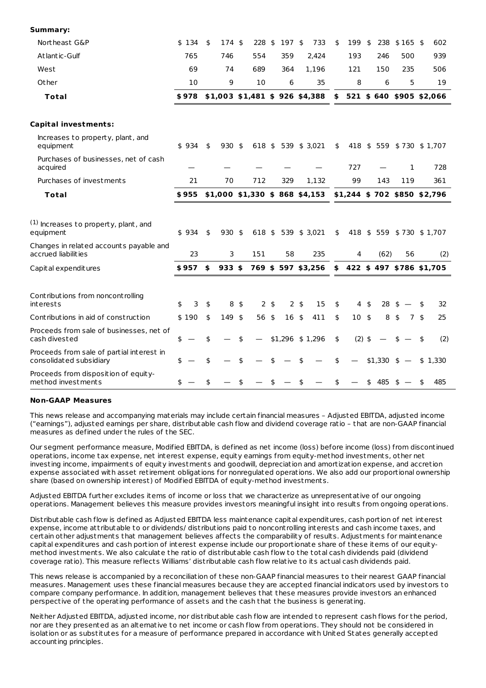| Northeast G&P                                                        | \$134   | \$<br>174 \$                      | $228$ \$ |                | 197 \$     |                 | 733                             | \$<br>199                     | \$           | 238                     | $$165$ \$ |     | 602       |
|----------------------------------------------------------------------|---------|-----------------------------------|----------|----------------|------------|-----------------|---------------------------------|-------------------------------|--------------|-------------------------|-----------|-----|-----------|
| Atlantic-Gulf                                                        | 765     | 746                               | 554      |                | 359        |                 | 2,424                           | 193                           |              | 246                     |           | 500 | 939       |
| West                                                                 | 69      | 74                                | 689      |                | 364        |                 | 1,196                           | 121                           |              | 150                     |           | 235 | 506       |
| Other                                                                | 10      | 9                                 | 10       |                | 6          |                 | 35                              | 8                             |              | 6                       |           | 5   | 19        |
| <b>Total</b>                                                         | \$978   | $$1,003$ $$1,481$ $$926$ $$4,388$ |          |                |            |                 |                                 | \$                            |              | 521 \$640 \$905 \$2,066 |           |     |           |
| <b>Capital investments:</b>                                          |         |                                   |          |                |            |                 |                                 |                               |              |                         |           |     |           |
| Increases to property, plant, and<br>equipment                       | \$934   | \$<br>$930 \text{ }$ \$           |          |                |            |                 | 618 \$ 539 \$ 3,021             | \$                            |              | 418 \$559 \$730 \$1,707 |           |     |           |
| Purchases of businesses, net of cash<br>acquired                     |         |                                   |          |                |            |                 |                                 | 727                           |              |                         |           | 1   | 728       |
| Purchases of investments                                             | 21      | 70                                | 712      |                | 329        |                 | 1,132                           | 99                            |              | 143                     |           | 119 | 361       |
| <b>Total</b>                                                         | \$955   |                                   |          |                |            |                 | $$1,000$ \$1,330 \$ 868 \$4,153 | $$1,244$ \$ 702 \$850 \$2,796 |              |                         |           |     |           |
| (1) Increases to property, plant, and<br>equipment                   | \$934   | \$<br>$930 \text{ }$              |          |                |            |                 | 618 \$ 539 \$ 3,021             | \$                            |              | 418 \$559 \$730 \$1,707 |           |     |           |
| Changes in related accounts payable and<br>accrued liabilities       | 23      | 3                                 | 151      |                | 58         |                 | 235                             | $\overline{4}$                |              | (62)                    |           | 56  | (2)       |
| Capital expenditures                                                 | \$957   | \$<br>$933$ \$                    |          |                |            |                 | 769 \$597 \$3,256               | \$                            |              | 422 \$497 \$786 \$1,705 |           |     |           |
| Contributions from noncontrolling<br>interests                       | 3<br>\$ | \$<br>8                           | \$       | 2 <sub>5</sub> |            | $2 \frac{1}{2}$ | 15                              | \$                            | $4 \text{ }$ | 28                      | \$        |     | \$<br>32  |
| Contributions in aid of construction                                 | \$190   | \$<br>149 \$                      | 56 \$    |                | $16 \;$ \$ |                 | 411                             | \$<br>$10 \;$ \$              |              | 8                       | \$        | 7\$ | 25        |
| Proceeds from sale of businesses, net of<br>cash divested            | \$      | \$                                | \$       |                |            |                 | \$1,296 \$1,296                 | \$<br>$(2)$ \$                |              |                         |           |     | \$<br>(2) |
| Proceeds from sale of partial interest in<br>consolidated subsidiary | \$      | \$                                | \$       | \$             |            | \$              |                                 | \$                            |              | $$1,330$ \$ -           |           |     | \$1,330   |
| Proceeds from disposition of equity-<br>method investments           | \$      | \$                                | \$       | \$             |            |                 |                                 | \$                            |              | \$485                   | $s -$     |     | \$<br>485 |

## **Non-GAAP Measures**

**Summary:**

This news release and accompanying materials may include certain financial measures – Adjusted EBITDA, adjusted income ("earnings"), adjusted earnings per share, dist ributable cash flow and dividend coverage ratio – that are non-GAAP financial measures as defined under the rules of the SEC.

Our segment performance measure, Modified EBITDA, is defined as net income (loss) before income (loss) from discontinued operations, income tax expense, net interest expense, equity earnings from equity-method investments, other net investing income, impairments of equity investments and goodwill, depreciation and amortization expense, and accretion expense associated with asset retirement obligations for nonregulated operations. We also add our proportional ownership share (based on ownership interest) of Modified EBITDA of equity-method investments.

Adjusted EBITDA further excludes items of income or loss that we characterize as unrepresentative of our ongoing operations. Management believes this measure provides investors meaningful insight into results from ongoing operations.

Dist ributable cash flow is defined as Adjusted EBITDA less maintenance capital expenditures, cash portion of net interest expense, income att ributable to or dividends/ dist ributions paid to noncont rolling interests and cash income taxes, and certain other adjustments that management believes affects the comparability of results. Adjustments for maintenance capital expenditures and cash portion of interest expense include our proportionate share of these items of our equitymethod investments. We also calculate the ratio of dist ributable cash flow to the total cash dividends paid (dividend coverage ratio). This measure reflects Williams' dist ributable cash flow relative to its actual cash dividends paid.

This news release is accompanied by a reconciliation of these non-GAAP financial measures to their nearest GAAP financial measures. Management uses these financial measures because they are accepted financial indicators used by investors to compare company performance. In addition, management believes that these measures provide investors an enhanced perspective of the operating performance of assets and the cash that the business is generating.

Neither Adjusted EBITDA, adjusted income, nor dist ributable cash flow are intended to represent cash flows for the period, nor are they presented as an alternative to net income or cash flow from operations. They should not be considered in isolation or as substitutes for a measure of performance prepared in accordance with United States generally accepted accounting principles.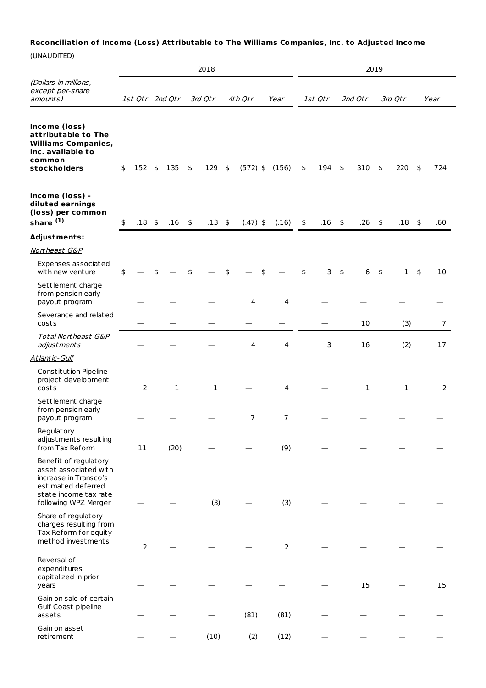## **Reconciliation of Income (Loss) Attributable to The Williams Companies, Inc. to Adjusted Income**

|                                                                                                                                                |                |                 |               | 2018         |                    |       |                |                |              | 2019                     |              |                          |                |
|------------------------------------------------------------------------------------------------------------------------------------------------|----------------|-----------------|---------------|--------------|--------------------|-------|----------------|----------------|--------------|--------------------------|--------------|--------------------------|----------------|
| (Dollars in millions,<br>except per-share<br>amounts)                                                                                          |                | 1st Qtr 2nd Qtr |               | 3rd Qtr      | 4th Otr            | Year  |                | 1st Qtr        | 2nd Qtr      |                          | 3rd Qtr      |                          | Year           |
| Income (loss)<br>attributable to The<br><b>Williams Companies,</b><br>Inc. available to<br>common<br>stockholders                              | \$<br>$152$ \$ | 135             | $\frac{1}{2}$ | 129 \$       | $(572)$ \$ $(156)$ |       |                | \$<br>$194$ \$ | 310          | \$                       | 220          | $\overline{\phantom{a}}$ | 724            |
| Income (loss) -<br>diluted earnings<br>(loss) per common<br>share <sup>(1)</sup>                                                               | \$<br>$.18$ \$ | .16             | $\frac{1}{2}$ | $.13 \;$ \$  | $(.47)$ \$         | (.16) |                | \$<br>$.16$ \$ | .26          | $\overline{\phantom{a}}$ | $.18$ \$     |                          | .60            |
| <b>Adjustments:</b>                                                                                                                            |                |                 |               |              |                    |       |                |                |              |                          |              |                          |                |
| Northeast G&P                                                                                                                                  |                |                 |               |              |                    |       |                |                |              |                          |              |                          |                |
| Expenses associated<br>with new venture                                                                                                        | \$             |                 |               |              | \$                 |       |                | \$<br>3        | \$<br>6      | $\frac{4}{3}$            | $\mathbf{1}$ | \$                       | 10             |
| Settlement charge<br>from pension early<br>payout program                                                                                      |                |                 |               |              | 4                  |       | 4              |                |              |                          |              |                          |                |
| Severance and related<br>costs                                                                                                                 |                |                 |               |              |                    |       |                |                | 10           |                          | (3)          |                          | $\overline{7}$ |
| <b>Total Northeast G&amp;P</b><br>adjustments                                                                                                  |                |                 |               |              | 4                  |       | 4              | 3              | 16           |                          | (2)          |                          | 17             |
| Atlantic-Gulf                                                                                                                                  |                |                 |               |              |                    |       |                |                |              |                          |              |                          |                |
| Constitution Pipeline<br>project development<br>costs                                                                                          | 2              | 1               |               | $\mathbf{1}$ |                    |       | 4              |                | $\mathbf{1}$ |                          | 1            |                          | 2              |
| Settlement charge<br>from pension early<br>payout program                                                                                      |                |                 |               |              | $\overline{7}$     |       | $\overline{7}$ |                |              |                          |              |                          |                |
| Regulatory<br>adjustments resulting<br>from Tax Reform                                                                                         | 11             | (20)            |               |              |                    |       | (9)            |                |              |                          |              |                          |                |
| Benefit of regulatory<br>asset associated with<br>increase in Transco's<br>estimated deferred<br>state income tax rate<br>following WPZ Merger |                |                 |               | (3)          |                    |       | (3)            |                |              |                          |              |                          |                |
| Share of regulatory<br>charges resulting from<br>Tax Reform for equity-<br>method investments                                                  | $\mathsf{2}\,$ |                 |               |              |                    |       | $\mathbf 2$    |                |              |                          |              |                          |                |
| Reversal of<br>expenditures<br>capitalized in prior<br>years                                                                                   |                |                 |               |              |                    |       |                |                | 15           |                          |              |                          | 15             |
| Gain on sale of certain<br>Gulf Coast pipeline<br>assets                                                                                       |                |                 |               |              | (81)               | (81)  |                |                |              |                          |              |                          |                |
| Gain on asset<br>retirement                                                                                                                    |                |                 |               | (10)         | (2)                | (12)  |                |                |              |                          |              |                          |                |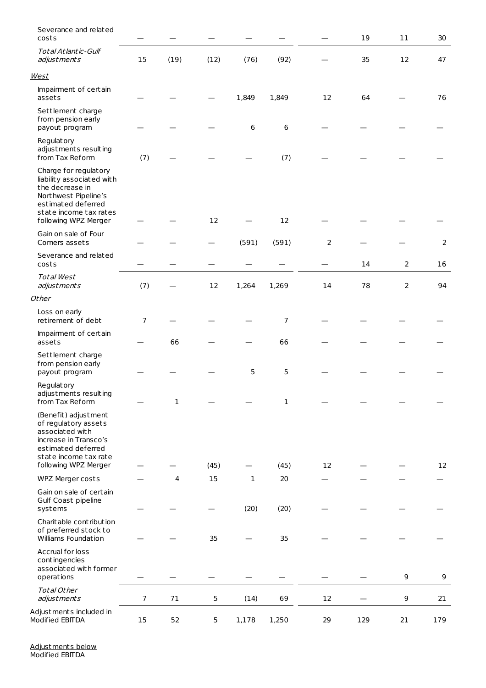| Severance and related<br>costs                                                                                                                                        |                |      |      |              |       |                | 19  | 11             | 30  |
|-----------------------------------------------------------------------------------------------------------------------------------------------------------------------|----------------|------|------|--------------|-------|----------------|-----|----------------|-----|
| <b>Total Atlantic-Gulf</b><br>adjustments                                                                                                                             | 15             | (19) | (12) | (76)         | (92)  |                | 35  | 12             | 47  |
| <b>West</b>                                                                                                                                                           |                |      |      |              |       |                |     |                |     |
| Impairment of certain<br>assets                                                                                                                                       |                |      |      | 1,849        | 1,849 | 12             | 64  |                | 76  |
| Settlement charge<br>from pension early<br>payout program                                                                                                             |                |      |      | 6            | 6     |                |     |                |     |
| Regulatory<br>adjustments resulting<br>from Tax Reform                                                                                                                | (7)            |      |      |              | (7)   |                |     |                |     |
| Charge for regulatory<br>liability associated with<br>the decrease in<br>Northwest Pipeline's<br>estimated deferred<br>state income tax rates<br>following WPZ Merger |                |      | 12   |              | 12    |                |     |                |     |
| Gain on sale of Four<br>Corners assets                                                                                                                                |                |      |      | (591)        | (591) | $\overline{2}$ |     |                | 2   |
| Severance and related<br>costs                                                                                                                                        |                |      |      |              |       |                | 14  | $\overline{2}$ | 16  |
| <b>Total West</b><br>adjustments                                                                                                                                      | (7)            |      | 12   | 1,264        | 1,269 | 14             | 78  | $\overline{2}$ | 94  |
| <b>Other</b>                                                                                                                                                          |                |      |      |              |       |                |     |                |     |
| Loss on early<br>retirement of debt                                                                                                                                   | 7              |      |      |              | 7     |                |     |                |     |
| Impairment of certain<br>assets                                                                                                                                       |                | 66   |      |              | 66    |                |     |                |     |
| Settlement charge<br>from pension early<br>payout program                                                                                                             |                |      |      | 5            | 5     |                |     |                |     |
| Regulatory<br>adjustments resulting<br>from Tax Reform                                                                                                                |                | 1    |      |              | 1     |                |     |                |     |
| (Benefit) adjustment<br>of regulatory assets<br>associated with<br>increase in Transco's<br>estimated deferred<br>state income tax rate<br>following WPZ Merger       |                |      | (45) |              | (45)  | 12             |     |                | 12  |
| WPZ Merger costs                                                                                                                                                      |                | 4    | 15   | $\mathbf{1}$ | 20    |                |     |                |     |
| Gain on sale of certain<br>Gulf Coast pipeline<br>systems                                                                                                             |                |      |      | (20)         | (20)  |                |     |                |     |
| Charit able contribution<br>of preferred stock to<br>Williams Foundation                                                                                              |                |      | 35   |              | 35    |                |     |                |     |
| Accrual for loss<br>contingencies<br>associated with former<br>operations                                                                                             |                |      |      |              |       |                |     | 9              | 9   |
| Total Other<br>adjustments                                                                                                                                            | $\overline{7}$ | 71   | 5    | (14)         | 69    | 12             |     | 9              | 21  |
| Adjustments included in<br>Modified EBITDA                                                                                                                            | 15             | 52   | 5    | 1,178        | 1,250 | 29             | 129 | 21             | 179 |

<u>Adjustments below</u> <u>Modified EBITDA</u>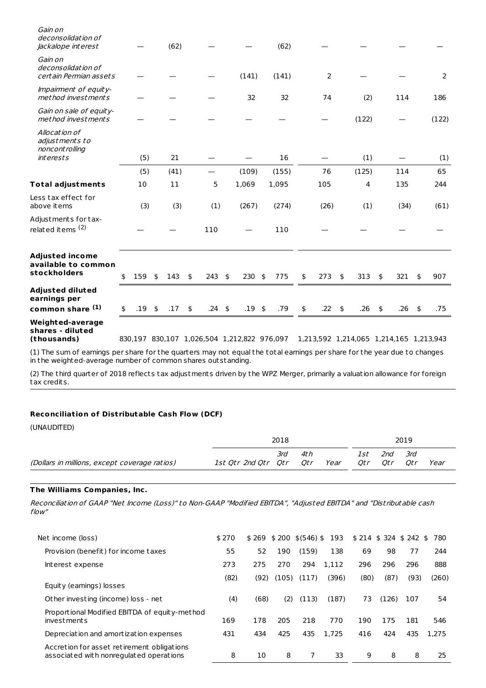| <b>Weighted-average</b><br>shares - diluted<br>(thousands)             |                |            |               |             | 830,197 830,107 1,026,504 1,212,822 976,097 |             |           |              |                          | 1,213,592 1,214,065 1,214,165 1,213,943 |            |                |  |
|------------------------------------------------------------------------|----------------|------------|---------------|-------------|---------------------------------------------|-------------|-----------|--------------|--------------------------|-----------------------------------------|------------|----------------|--|
| <b>Adjusted diluted</b><br>earnings per<br>common share (1)            | \$<br>$.19$ \$ | .17        | $\frac{1}{2}$ | $.24 \;$ \$ | $.19$ \$                                    | .79         | \$<br>.22 | \$<br>.26    | $\overline{\phantom{a}}$ | .26                                     | $\sqrt{5}$ | .75            |  |
| <b>Adjusted income</b><br>available to common<br>stockholders          | \$<br>159      | \$<br>143  | \$            | 243         | \$<br>$230$ \$                              | 775         | \$<br>273 | \$<br>313    | \$                       | 321                                     | \$         | 907            |  |
| Adjustments for tax-<br>related items <sup>(2)</sup>                   |                |            |               | 110         |                                             | 110         |           |              |                          |                                         |            |                |  |
| Less tax effect for<br>above items                                     | (3)            | (3)        |               | (1)         | (267)                                       | (274)       | (26)      | (1)          |                          | (34)                                    |            | (61)           |  |
| <b>Total adjustments</b>                                               | 10             | 11         |               | 5           | 1,069                                       | 1,095       | 105       | 4            |                          | 135                                     |            | 244            |  |
| Allocation of<br>adjustments to<br>noncont rolling<br><i>interests</i> | (5)<br>(5)     | 21<br>(41) |               |             | (109)                                       | 16<br>(155) | 76        | (1)<br>(125) |                          | 114                                     |            | (1)<br>65      |  |
| Gain on sale of equity-<br>method investments                          |                |            |               |             |                                             |             |           | (122)        |                          |                                         |            | (122)          |  |
| Impairment of equity-<br>method investments                            |                |            |               |             | 32                                          | 32          | 74        | (2)          |                          | 114                                     |            | 186            |  |
| Gain on<br>deconsolidation of<br>certain Permian assets                |                |            |               |             | (141)                                       | (141)       | 2         |              |                          |                                         |            | $\overline{2}$ |  |
| Gain on<br>deconsolidation of<br>Jackalope interest                    |                | (62)       |               |             |                                             | (62)        |           |              |                          |                                         |            |                |  |

(1) The sum of earnings per share for the quarters may not equal the total earnings per share for the year due to changes in the weighted-average number of common shares outstanding.

(2) The third quarter of 2018 reflects tax adjustments driven by the WPZ Merger, primarily a valuation allowance for foreign tax credits.

## **Reconciliation of Distributable Cash Flow (DCF)**

| 2018 |     |                       |            |            |            |      |
|------|-----|-----------------------|------------|------------|------------|------|
| 3rd  | 4th | Year                  | lst<br>Otr | 2nd<br>Otr | 3rd<br>Otr | Year |
|      |     | 1st Otr 2nd Otr - Otr | Qtr        |            |            | 2019 |

## **The Williams Companies, Inc.**

Reconciliation of GAAP "Net Income (Loss)" to Non-GAAP "Modified EBITDA", "Adjusted EBITDA" and "Dist ributable cash flow"

| Net income (loss)                                                                     | \$270 |      | $$269$ \$ 200 | $$$ (546) \$ | 193   | $$214$ \$ 324 \$ 242 |       |      | 780<br>\$ |
|---------------------------------------------------------------------------------------|-------|------|---------------|--------------|-------|----------------------|-------|------|-----------|
| Provision (benefit) for income taxes                                                  | 55    | 52   | 190           | (159)        | 138   | 69                   | 98    | 77   | 244       |
| Interest expense                                                                      | 273   | 275  | 270           | 294          | 1,112 | 296                  | 296   | 296  | 888       |
| Equity (earnings) losses                                                              | (82)  | (92) | (105)         | (117)        | (396) | (80)                 | (87)  | (93) | (260)     |
| Other investing (income) loss - net                                                   | (4)   | (68) | (2)           | (113)        | (187) | 73                   | (126) | 107  | 54        |
| Proportional Modified EBITDA of equity-method<br>investments                          | 169   | 178  | 205           | 218          | 770   | 190                  | 175   | 181  | 546       |
| Depreciation and amortization expenses                                                | 431   | 434  | 425           | 435          | 1.725 | 416                  | 424   | 435  | 1.275     |
| Accretion for asset retirement obligations<br>associated with nonregulated operations | 8     | 10   | 8             | 7            | 33    | 9                    | 8     | 8    | 25        |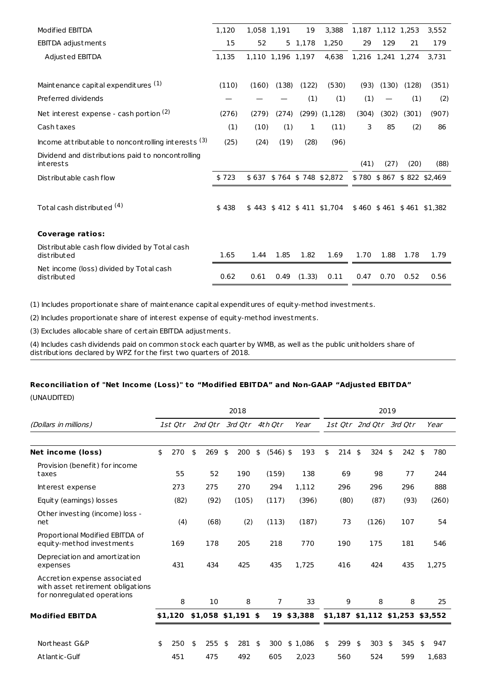| Modified EBITDA                                                | 1,120 | 1,058 1,191 |                   | 19          | 3,388                                                |       | 1,187 1,112 1,253 |       | 3,552                     |
|----------------------------------------------------------------|-------|-------------|-------------------|-------------|------------------------------------------------------|-------|-------------------|-------|---------------------------|
| EBITDA adjustments                                             | 15    | 52          |                   | 5 1,178     | 1.250                                                | 29    | 129               | 21    | 179                       |
| Adjusted EBITDA                                                | 1,135 |             | 1,110 1,196 1,197 |             | 4,638                                                |       | 1,216 1,241 1,274 |       | 3.731                     |
|                                                                |       |             |                   |             |                                                      |       |                   |       |                           |
| Maintenance capital expenditures (1)                           | (110) | (160)       | (138)             | (122)       | (530)                                                | (93)  | (130)             | (128) | (351)                     |
| Preferred dividends                                            |       |             |                   | (1)         | (1)                                                  | (1)   |                   | (1)   | (2)                       |
| Net interest expense - cash portion (2)                        | (276) | (279)       | (274)             |             | $(299)$ $(1,128)$                                    | (304) | (302)             | (301) | (907)                     |
| Cash taxes                                                     | (1)   | (10)        | (1)               | $\mathbf 1$ | (11)                                                 | 3     | 85                | (2)   | 86                        |
| Income attributable to noncontrolling interests (3)            | (25)  | (24)        | (19)              | (28)        | (96)                                                 |       |                   |       |                           |
| Dividend and distributions paid to noncontrolling<br>interests |       |             |                   |             |                                                      | (41)  | (27)              | (20)  | (88)                      |
| Distributable cash flow                                        | \$723 |             |                   |             | \$637 \$764 \$748 \$2,872                            |       |                   |       | \$780 \$867 \$822 \$2,469 |
| Total cash distributed <sup>(4)</sup>                          | \$438 |             |                   |             | $$443$ \$412 \$411 \$1,704 \$460 \$461 \$461 \$1,382 |       |                   |       |                           |
| <b>Coverage ratios:</b>                                        |       |             |                   |             |                                                      |       |                   |       |                           |
| Distributable cash flow divided by Total cash<br>distributed   | 1.65  | 1.44        | 1.85              | 1.82        | 1.69                                                 | 1.70  | 1.88              | 1.78  | 1.79                      |
|                                                                |       |             |                   |             |                                                      |       |                   |       |                           |
| Net income (loss) divided by Total cash<br>distributed         | 0.62  | 0.61        | 0.49              | (1.33)      | 0.11                                                 | 0.47  | 0.70              | 0.52  | 0.56                      |

(1) Includes proportionate share of maintenance capital expenditures of equity-method investments.

(2) Includes proportionate share of interest expense of equity-method investments.

(3) Excludes allocable share of certain EBITDA adjustments.

(4) Includes cash dividends paid on common stock each quarter by WMB, as well as the public unitholders share of dist ributions declared by WPZ for the first two quarters of 2018.

## **Reconciliation of "Net Income (Loss)" to "Modified EBITDA" and Non-GAAP "Adjusted EBITDA"**

|                                                                                                  | 2018 |         |    |         |    |                     |    |                 |  | 2019    |    |          |    |       |    |                                     |    |       |
|--------------------------------------------------------------------------------------------------|------|---------|----|---------|----|---------------------|----|-----------------|--|---------|----|----------|----|-------|----|-------------------------------------|----|-------|
| (Dollars in millions)                                                                            |      | 1st Otr |    | 2nd Otr |    |                     |    | 3rd Otr 4th Otr |  | Year    |    |          |    |       |    | 1st Qtr 2nd Qtr 3rd Qtr             |    | Year  |
|                                                                                                  |      |         |    |         |    |                     |    |                 |  |         |    |          |    |       |    |                                     |    |       |
| Net income (loss)                                                                                | \$   | 270     | \$ | 269     | \$ | 200                 | \$ | $(546)$ \$      |  | 193     | \$ | $214$ \$ |    | 324   | \$ | $242 \text{ }$                      |    | 780   |
| Provision (benefit) for income<br>taxes                                                          |      | 55      |    | 52      |    | 190                 |    | (159)           |  | 138     |    | 69       |    | 98    |    | 77                                  |    | 244   |
| Interest expense                                                                                 |      | 273     |    | 275     |    | 270                 |    | 294             |  | 1,112   |    | 296      |    | 296   |    | 296                                 |    | 888   |
| Equity (earnings) losses                                                                         |      | (82)    |    | (92)    |    | (105)               |    | (117)           |  | (396)   |    | (80)     |    | (87)  |    | (93)                                |    | (260) |
| Other investing (income) loss -<br>net                                                           |      | (4)     |    | (68)    |    | (2)                 |    | (113)           |  | (187)   |    | 73       |    | (126) |    | 107                                 |    | 54    |
| Proportional Modified EBITDA of<br>equity-method investments                                     |      | 169     |    | 178     |    | 205                 |    | 218             |  | 770     |    | 190      |    | 175   |    | 181                                 |    | 546   |
| Depreciation and amortization<br>expenses                                                        |      | 431     |    | 434     |    | 425                 |    | 435             |  | 1.725   |    | 416      |    | 424   |    | 435                                 |    | 1,275 |
| Accretion expense associated<br>with asset retirement obligations<br>for nonregulated operations |      | 8       |    | 10      |    | 8                   |    | $\overline{7}$  |  | 33      |    | 9        |    | 8     |    | 8                                   |    | 25    |
| <b>Modified EBITDA</b>                                                                           |      | \$1,120 |    |         |    | $$1,058$ \$1,191 \$ |    | 19              |  | \$3,388 |    |          |    |       |    | $$1,187$ $$1,112$ $$1,253$ $$3,552$ |    |       |
|                                                                                                  |      |         |    |         |    |                     |    |                 |  |         |    |          |    |       |    |                                     |    |       |
| Northeast G&P                                                                                    | \$   | 250     | \$ | 255     | \$ | 281                 | \$ | 300             |  | \$1,086 | \$ | 299      | \$ | 303   | \$ | 345                                 | \$ | 947   |
| Atlantic-Gulf                                                                                    |      | 451     |    | 475     |    | 492                 |    | 605             |  | 2,023   |    | 560      |    | 524   |    | 599                                 |    | 1,683 |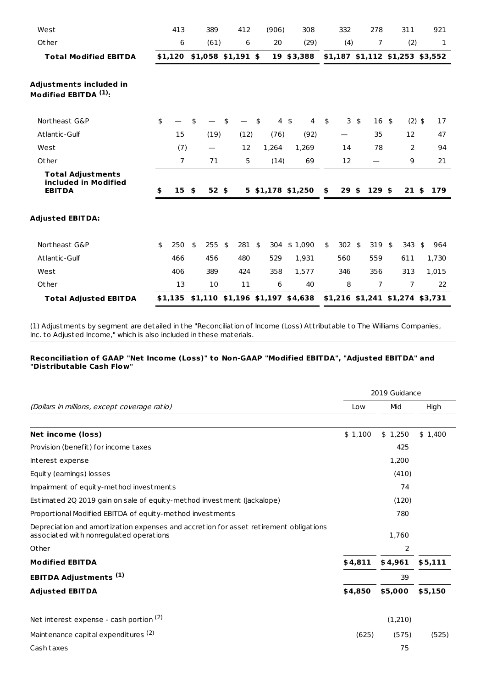| West                                                              | 413              | 389            | 412                 | (906)           | 308                                 | 332                   |          | 278                             | 311             | 921       |
|-------------------------------------------------------------------|------------------|----------------|---------------------|-----------------|-------------------------------------|-----------------------|----------|---------------------------------|-----------------|-----------|
| Other                                                             | 6                | (61)           | 6                   | 20              | (29)                                | (4)                   |          | 7                               | (2)             | 1         |
| <b>Total Modified EBITDA</b>                                      | \$1,120          |                | $$1,058$ \$1,191 \$ |                 | 19 \$3,388                          |                       |          | \$1,187 \$1,112 \$1,253 \$3,552 |                 |           |
| Adjustments included in<br>Modified EBITDA <sup>(1)</sup> :       |                  |                |                     |                 |                                     |                       |          |                                 |                 |           |
| Northeast G&P                                                     | \$               | \$             | \$                  | \$<br>$4 \;$ \$ | 4                                   | \$                    | $3 \; 5$ | 16 <sup>5</sup>                 | $(2)$ \$        | 17        |
| Atlantic-Gulf                                                     | 15               | (19)           | (12)                | (76)            | (92)                                |                       |          | 35                              | 12              | 47        |
| West                                                              | (7)              |                | 12                  | 1,264           | 1,269                               | 14                    |          | 78                              | 2               | 94        |
| Other                                                             | 7                | 71             | 5                   | (14)            | 69                                  | 12                    |          |                                 | 9               | 21        |
| <b>Total Adjustments</b><br>included in Modified<br><b>EBITDA</b> | \$<br>$15 \;$ \$ | $52$ \$        |                     |                 | 5 \$1,178 \$1,250                   | \$<br>29 <sub>5</sub> |          | $129$ \$                        | 21 <sub>5</sub> | 179       |
| <b>Adjusted EBITDA:</b>                                           |                  |                |                     |                 |                                     |                       |          |                                 |                 |           |
| Northeast G&P                                                     | \$<br>250        | \$<br>$255$ \$ | $281$ \$            |                 | 304 \$1,090                         | \$<br>302 \$          |          | 319 \$                          | 343             | \$<br>964 |
| Atlantic-Gulf                                                     | 466              | 456            | 480                 | 529             | 1,931                               | 560                   |          | 559                             | 611             | 1,730     |
| West                                                              | 406              | 389            | 424                 | 358             | 1,577                               | 346                   |          | 356                             | 313             | 1,015     |
| Other                                                             | 13               | 10             | 11                  | 6               | 40                                  | 8                     |          | 7                               | $\overline{7}$  | 22        |
| <b>Total Adjusted EBITDA</b>                                      | \$1,135          |                |                     |                 | $$1,110$ $$1,196$ $$1,197$ $$4,638$ |                       |          | \$1,216 \$1,241 \$1,274 \$3,731 |                 |           |

(1) Adjustments by segment are detailed in the "Reconciliation of Income (Loss) Att ributable to The Williams Companies, Inc. to Adjusted Income," which is also included in these materials.

#### **Reconciliation of GAAP "Net Income (Loss)" to Non-GAAP "Modified EBITDA", "Adjusted EBITDA" and "Distributable Cash Flow"**

|                                                                                                                                  |         | 2019 Guidance |         |
|----------------------------------------------------------------------------------------------------------------------------------|---------|---------------|---------|
| (Dollars in millions, except coverage ratio)                                                                                     | Low     | Mid           | High    |
|                                                                                                                                  |         |               |         |
| Net income (loss)                                                                                                                | \$1,100 | \$1,250       | \$1,400 |
| Provision (benefit) for income taxes                                                                                             |         | 425           |         |
| Interest expense                                                                                                                 |         | 1,200         |         |
| Equity (earnings) losses                                                                                                         |         | (410)         |         |
| Impairment of equity-method investments                                                                                          |         | 74            |         |
| Estimated 20 2019 gain on sale of equity-method investment (ackalope)                                                            |         | (120)         |         |
| Proportional Modified EBITDA of equity-method investments                                                                        |         | 780           |         |
| Depreciation and amortization expenses and accretion for asset retirement obligations<br>associated with nonregulated operations |         | 1,760         |         |
| Other                                                                                                                            |         | 2             |         |
| <b>Modified EBITDA</b>                                                                                                           | \$4,811 | \$4,961       | \$5,111 |
| <b>EBITDA Adjustments (1)</b>                                                                                                    |         | 39            |         |
| <b>Adjusted EBITDA</b>                                                                                                           | \$4,850 | \$5,000       | \$5,150 |
| Net interest expense - cash portion (2)                                                                                          |         | (1,210)       |         |
| Maintenance capital expenditures (2)                                                                                             | (625)   | (575)         | (525)   |
| Cash taxes                                                                                                                       |         | 75            |         |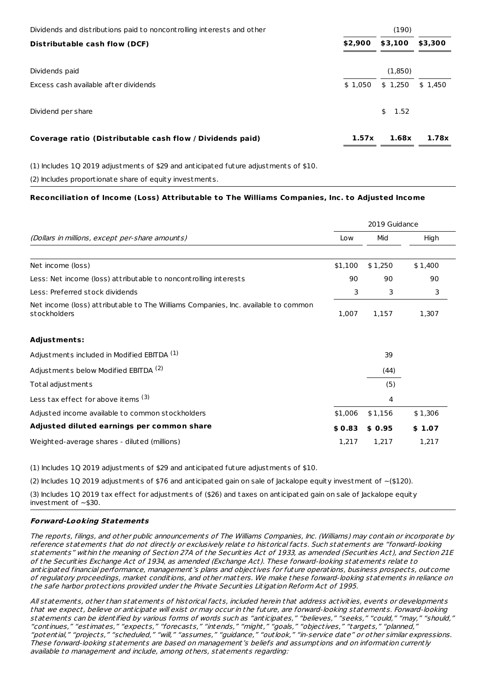| Dividends and distributions paid to noncontrolling interests and other | (190)   |            |         |  |  |
|------------------------------------------------------------------------|---------|------------|---------|--|--|
| Distributable cash flow (DCF)                                          | \$2,900 | \$3,100    | \$3,300 |  |  |
| Dividends paid                                                         |         | (1,850)    |         |  |  |
| Excess cash available after dividends                                  | \$1,050 | \$1,250    | \$1,450 |  |  |
| Dividend per share                                                     |         | 1.52<br>\$ |         |  |  |
| Coverage ratio (Distributable cash flow / Dividends paid)              | 1.57x   | 1.68x      | 1.78x   |  |  |

(1) Includes 1Q 2019 adjustments of \$29 and anticipated future adjustments of \$10.

(2) Includes proportionate share of equity investments.

## **Reconciliation of Income (Loss) Attributable to The Williams Companies, Inc. to Adjusted Income**

|                                                                                                    |         | 2019 Guidance |         |  |
|----------------------------------------------------------------------------------------------------|---------|---------------|---------|--|
| (Dollars in millions, except per-share amounts)                                                    | Low     | Mid           | High    |  |
|                                                                                                    |         |               |         |  |
| Net income (loss)                                                                                  | \$1,100 | \$1,250       | \$1,400 |  |
| Less: Net income (loss) attributable to noncontrolling interests                                   | 90      | 90            | 90      |  |
| Less: Preferred stock dividends                                                                    | 3       | 3             | 3       |  |
| Net income (loss) attributable to The Williams Companies, Inc. available to common<br>stockholders | 1,007   | 1,157         | 1,307   |  |
| <b>Adjustments:</b>                                                                                |         |               |         |  |
| Adjustments included in Modified EBITDA (1)                                                        |         | 39            |         |  |
| Adjustments below Modified EBITDA (2)                                                              |         | (44)          |         |  |
| Total adjustments                                                                                  |         | (5)           |         |  |
| Less tax effect for above items (3)                                                                |         | 4             |         |  |
| Adjusted income available to common stockholders                                                   | \$1,006 | \$1,156       | \$1,306 |  |
| Adjusted diluted earnings per common share                                                         | \$0.83  | \$0.95        | \$1.07  |  |
| Weighted-average shares - diluted (millions)                                                       | 1,217   | 1,217         | 1,217   |  |

(1) Includes 1Q 2019 adjustments of \$29 and anticipated future adjustments of \$10.

(2) Includes 1Q 2019 adjustments of \$76 and anticipated gain on sale of Jackalope equity investment of  $\sim$ (\$120).

(3) Includes 1Q 2019 tax effect for adjustments of (\$26) and taxes on anticipated gain on sale of Jackalope equity investment of ~\$30.

## **Forward-Looking Statements**

The reports, filings, and other public announcements of The Williams Companies, Inc. (Williams) may contain or incorporate by reference statements that do not directly or exclusively relate to historical facts. Such statements are "forward-looking statements" within the meaning of Section 27A of the Securities Act of 1933, as amended (Securities Act), and Section 21E of the Securities Exchange Act of 1934, as amended (Exchange Act). These forward-looking statements relate to anticipated financial performance, management's plans and objectives for future operations, business prospects, outcome of regulatory proceedings, market conditions, and other matters. We make these forward-looking statements in reliance on the safe harbor protections provided under the Private Securities Litigation Reform Act of 1995.

All statements, other than statements of historical facts, included herein that address activities, events or developments that we expect, believe or anticipate will exist or may occur in the future, are forward-looking statements. Forward-looking statements can be identified by various forms of words such as "anticipates," "believes," "seeks," "could," "may," "should," "continues," "estimates," "expects," "forecasts," "intends," "might," "goals," "objectives," "targets," "planned," "potential," "projects," "scheduled," "will," "assumes," "guidance," "outlook," "in-service date" or other similar expressions. These forward-looking statements are based on management's beliefs and assumptions and on information currently available to management and include, among others, statements regarding: